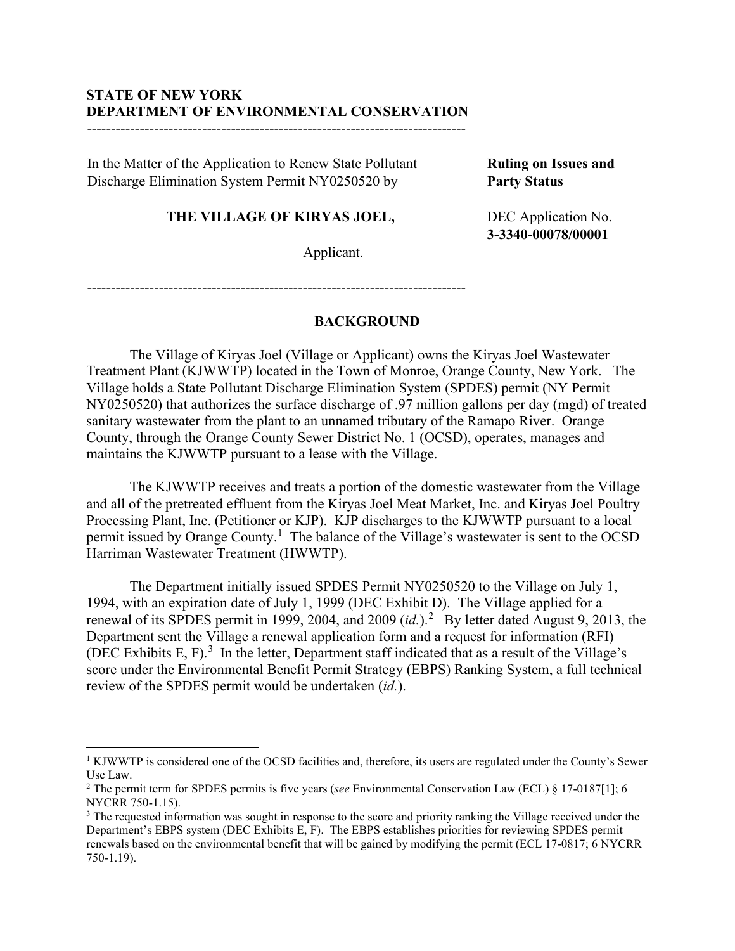# **STATE OF NEW YORK DEPARTMENT OF ENVIRONMENTAL CONSERVATION**

-------------------------------------------------------------------------------

In the Matter of the Application to Renew State Pollutant Discharge Elimination System Permit NY0250520 by

**THE VILLAGE OF KIRYAS JOEL,**

Applicant.

**Ruling on Issues and Party Status** 

DEC Application No. **3-3340-00078/00001**

-------------------------------------------------------------------------------

# **BACKGROUND**

The Village of Kiryas Joel (Village or Applicant) owns the Kiryas Joel Wastewater Treatment Plant (KJWWTP) located in the Town of Monroe, Orange County, New York. The Village holds a State Pollutant Discharge Elimination System (SPDES) permit (NY Permit NY0250520) that authorizes the surface discharge of .97 million gallons per day (mgd) of treated sanitary wastewater from the plant to an unnamed tributary of the Ramapo River. Orange County, through the Orange County Sewer District No. 1 (OCSD), operates, manages and maintains the KJWWTP pursuant to a lease with the Village.

The KJWWTP receives and treats a portion of the domestic wastewater from the Village and all of the pretreated effluent from the Kiryas Joel Meat Market, Inc. and Kiryas Joel Poultry Processing Plant, Inc. (Petitioner or KJP). KJP discharges to the KJWWTP pursuant to a local permit issued by Orange County.<sup>[1](#page-0-0)</sup> The balance of the Village's wastewater is sent to the OCSD Harriman Wastewater Treatment (HWWTP).

The Department initially issued SPDES Permit NY0250520 to the Village on July 1, 1994, with an expiration date of July 1, 1999 (DEC Exhibit D). The Village applied for a renewal of its SPDES permit in 1999, [2](#page-0-1)004, and 2009 (id.).<sup>2</sup> By letter dated August 9, 2013, the Department sent the Village a renewal application form and a request for information (RFI) (DEC Exhibits E, F). $3$  In the letter, Department staff indicated that as a result of the Village's score under the Environmental Benefit Permit Strategy (EBPS) Ranking System, a full technical review of the SPDES permit would be undertaken (*id.*).

<span id="page-0-0"></span><sup>&</sup>lt;sup>1</sup> KJWWTP is considered one of the OCSD facilities and, therefore, its users are regulated under the County's Sewer Use Law.

<span id="page-0-1"></span><sup>2</sup> The permit term for SPDES permits is five years (*see* Environmental Conservation Law (ECL) § 17-0187[1]; 6 NYCRR 750-1.15).

<span id="page-0-2"></span><sup>&</sup>lt;sup>3</sup> The requested information was sought in response to the score and priority ranking the Village received under the Department's EBPS system (DEC Exhibits E, F). The EBPS establishes priorities for reviewing SPDES permit renewals based on the environmental benefit that will be gained by modifying the permit (ECL 17-0817; 6 NYCRR 750-1.19).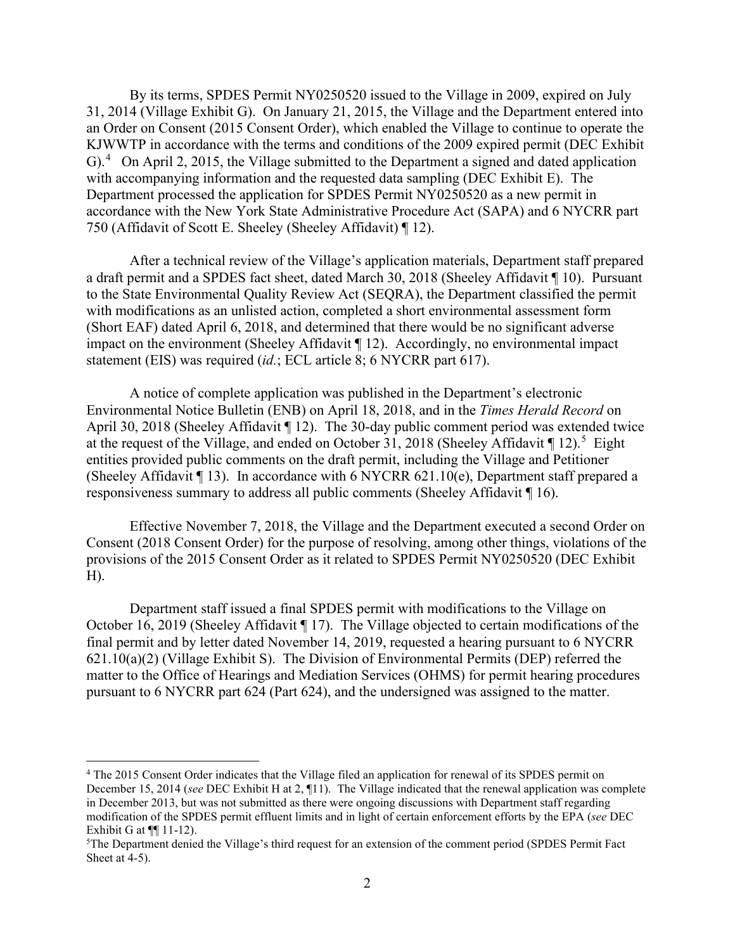By its terms, SPDES Permit NY0250520 issued to the Village in 2009, expired on July 31, 2014 (Village Exhibit G). On January 21, 2015, the Village and the Department entered into an Order on Consent (2015 Consent Order), which enabled the Village to continue to operate the KJWWTP in accordance with the terms and conditions of the 2009 expired permit (DEC Exhibit G).<sup>[4](#page-1-0)</sup> On April 2, 2015, the Village submitted to the Department a signed and dated application with accompanying information and the requested data sampling (DEC Exhibit E). The Department processed the application for SPDES Permit NY0250520 as a new permit in accordance with the New York State Administrative Procedure Act (SAPA) and 6 NYCRR part 750 (Affidavit of Scott E. Sheeley (Sheeley Affidavit) ¶ 12).

After a technical review of the Village's application materials, Department staff prepared a draft permit and a SPDES fact sheet, dated March 30, 2018 (Sheeley Affidavit ¶ 10). Pursuant to the State Environmental Quality Review Act (SEQRA), the Department classified the permit with modifications as an unlisted action, completed a short environmental assessment form (Short EAF) dated April 6, 2018, and determined that there would be no significant adverse impact on the environment (Sheeley Affidavit ¶ 12). Accordingly, no environmental impact statement (EIS) was required (*id.*; ECL article 8; 6 NYCRR part 617).

A notice of complete application was published in the Department's electronic Environmental Notice Bulletin (ENB) on April 18, 2018, and in the *Times Herald Record* on April 30, 2018 (Sheeley Affidavit ¶ 12). The 30-day public comment period was extended twice at the request of the Village, and ended on October 31, 2018 (Sheeley Affidavit  $\P$ 12).<sup>[5](#page-1-1)</sup> Eight entities provided public comments on the draft permit, including the Village and Petitioner (Sheeley Affidavit  $\P$  13). In accordance with 6 NYCRR 621.10(e), Department staff prepared a responsiveness summary to address all public comments (Sheeley Affidavit ¶ 16).

Effective November 7, 2018, the Village and the Department executed a second Order on Consent (2018 Consent Order) for the purpose of resolving, among other things, violations of the provisions of the 2015 Consent Order as it related to SPDES Permit NY0250520 (DEC Exhibit H).

Department staff issued a final SPDES permit with modifications to the Village on October 16, 2019 (Sheeley Affidavit ¶ 17). The Village objected to certain modifications of the final permit and by letter dated November 14, 2019, requested a hearing pursuant to 6 NYCRR 621.10(a)(2) (Village Exhibit S). The Division of Environmental Permits (DEP) referred the matter to the Office of Hearings and Mediation Services (OHMS) for permit hearing procedures pursuant to 6 NYCRR part 624 (Part 624), and the undersigned was assigned to the matter.

<span id="page-1-0"></span><sup>&</sup>lt;sup>4</sup> The 2015 Consent Order indicates that the Village filed an application for renewal of its SPDES permit on December 15, 2014 (*see* DEC Exhibit H at 2, ¶11). The Village indicated that the renewal application was complete in December 2013, but was not submitted as there were ongoing discussions with Department staff regarding modification of the SPDES permit effluent limits and in light of certain enforcement efforts by the EPA (*see* DEC Exhibit G at  $\P$ [11-12].

<span id="page-1-1"></span><sup>&</sup>lt;sup>5</sup>The Department denied the Village's third request for an extension of the comment period (SPDES Permit Fact Sheet at 4-5).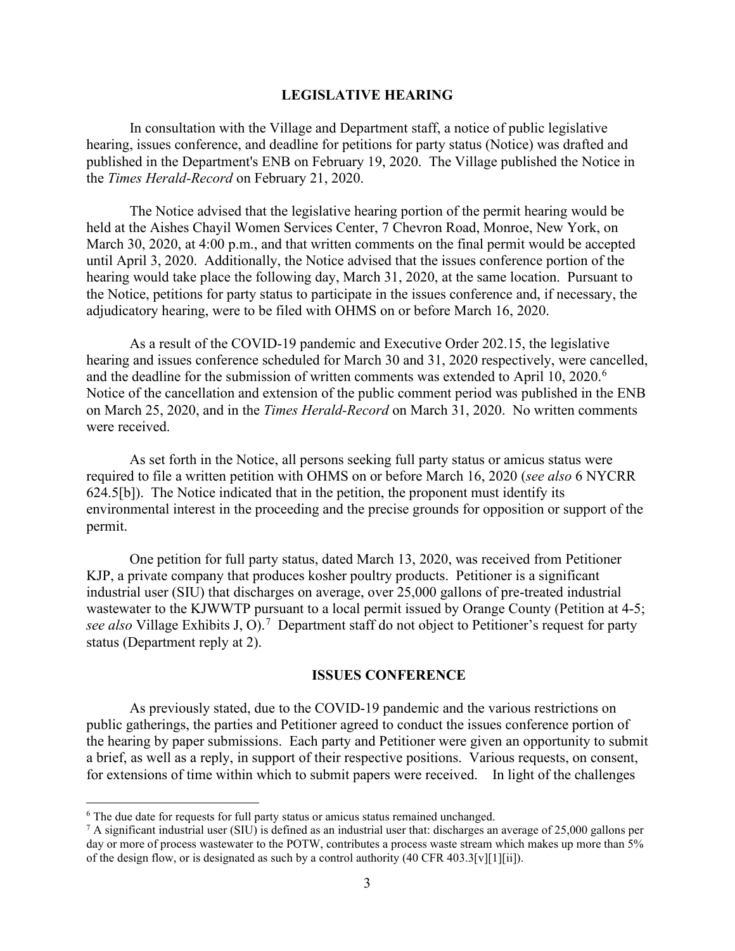#### **LEGISLATIVE HEARING**

In consultation with the Village and Department staff, a notice of public legislative hearing, issues conference, and deadline for petitions for party status (Notice) was drafted and published in the Department's ENB on February 19, 2020. The Village published the Notice in the *Times Herald-Record* on February 21, 2020.

The Notice advised that the legislative hearing portion of the permit hearing would be held at the Aishes Chayil Women Services Center, 7 Chevron Road, Monroe, New York, on March 30, 2020, at 4:00 p.m., and that written comments on the final permit would be accepted until April 3, 2020. Additionally, the Notice advised that the issues conference portion of the hearing would take place the following day, March 31, 2020, at the same location. Pursuant to the Notice, petitions for party status to participate in the issues conference and, if necessary, the adjudicatory hearing, were to be filed with OHMS on or before March 16, 2020.

As a result of the COVID-19 pandemic and Executive Order 202.15, the legislative hearing and issues conference scheduled for March 30 and 31, 2020 respectively, were cancelled, and the deadline for the submission of written comments was extended to April 10, 2020.<sup>[6](#page-2-0)</sup> Notice of the cancellation and extension of the public comment period was published in the ENB on March 25, 2020, and in the *Times Herald-Record* on March 31, 2020. No written comments were received.

As set forth in the Notice, all persons seeking full party status or amicus status were required to file a written petition with OHMS on or before March 16, 2020 (*see also* 6 NYCRR 624.5[b]). The Notice indicated that in the petition, the proponent must identify its environmental interest in the proceeding and the precise grounds for opposition or support of the permit.

One petition for full party status, dated March 13, 2020, was received from Petitioner KJP, a private company that produces kosher poultry products. Petitioner is a significant industrial user (SIU) that discharges on average, over 25,000 gallons of pre-treated industrial wastewater to the KJWWTP pursuant to a local permit issued by Orange County (Petition at 4-5; see also Village Exhibits J, O).<sup>[7](#page-2-1)</sup> Department staff do not object to Petitioner's request for party status (Department reply at 2).

### **ISSUES CONFERENCE**

As previously stated, due to the COVID-19 pandemic and the various restrictions on public gatherings, the parties and Petitioner agreed to conduct the issues conference portion of the hearing by paper submissions. Each party and Petitioner were given an opportunity to submit a brief, as well as a reply, in support of their respective positions. Various requests, on consent, for extensions of time within which to submit papers were received. In light of the challenges

<span id="page-2-0"></span><sup>&</sup>lt;sup>6</sup> The due date for requests for full party status or amicus status remained unchanged.

<span id="page-2-1"></span> $^7$  A significant industrial user (SIU) is defined as an industrial user that: discharges an average of 25,000 gallons per day or more of process wastewater to the POTW, contributes a process waste stream which makes up more than 5% of the design flow, or is designated as such by a control authority (40 CFR 403.3[v][1][ii]).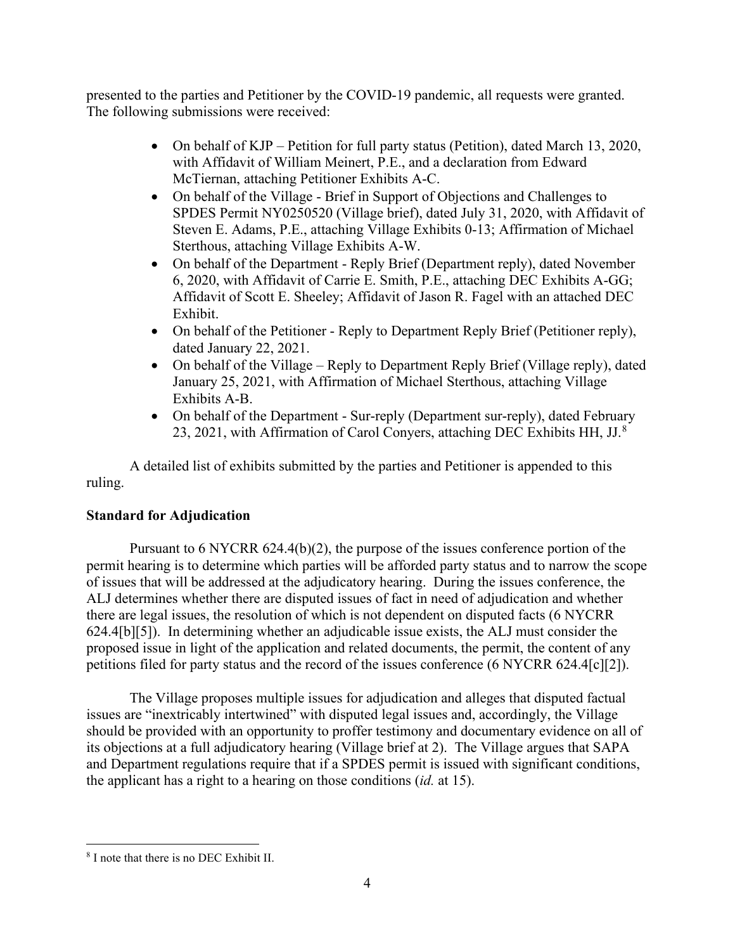presented to the parties and Petitioner by the COVID-19 pandemic, all requests were granted. The following submissions were received:

- On behalf of KJP Petition for full party status (Petition), dated March 13, 2020, with Affidavit of William Meinert, P.E., and a declaration from Edward McTiernan, attaching Petitioner Exhibits A-C.
- On behalf of the Village Brief in Support of Objections and Challenges to SPDES Permit NY0250520 (Village brief), dated July 31, 2020, with Affidavit of Steven E. Adams, P.E., attaching Village Exhibits 0-13; Affirmation of Michael Sterthous, attaching Village Exhibits A-W.
- On behalf of the Department Reply Brief (Department reply), dated November 6, 2020, with Affidavit of Carrie E. Smith, P.E., attaching DEC Exhibits A-GG; Affidavit of Scott E. Sheeley; Affidavit of Jason R. Fagel with an attached DEC Exhibit.
- On behalf of the Petitioner Reply to Department Reply Brief (Petitioner reply), dated January 22, 2021.
- On behalf of the Village Reply to Department Reply Brief (Village reply), dated January 25, 2021, with Affirmation of Michael Sterthous, attaching Village Exhibits A-B.
- On behalf of the Department Sur-reply (Department sur-reply), dated February 23, 2021, with Affirmation of Carol Conyers, attaching DEC Exhibits HH, JJ.[8](#page-3-0)

A detailed list of exhibits submitted by the parties and Petitioner is appended to this ruling.

# **Standard for Adjudication**

Pursuant to 6 NYCRR 624.4(b)(2), the purpose of the issues conference portion of the permit hearing is to determine which parties will be afforded party status and to narrow the scope of issues that will be addressed at the adjudicatory hearing. During the issues conference, the ALJ determines whether there are disputed issues of fact in need of adjudication and whether there are legal issues, the resolution of which is not dependent on disputed facts (6 NYCRR 624.4[b][5]). In determining whether an adjudicable issue exists, the ALJ must consider the proposed issue in light of the application and related documents, the permit, the content of any petitions filed for party status and the record of the issues conference (6 NYCRR 624.4[c][2]).

The Village proposes multiple issues for adjudication and alleges that disputed factual issues are "inextricably intertwined" with disputed legal issues and, accordingly, the Village should be provided with an opportunity to proffer testimony and documentary evidence on all of its objections at a full adjudicatory hearing (Village brief at 2). The Village argues that SAPA and Department regulations require that if a SPDES permit is issued with significant conditions, the applicant has a right to a hearing on those conditions (*id.* at 15).

<span id="page-3-0"></span><sup>8</sup> I note that there is no DEC Exhibit II.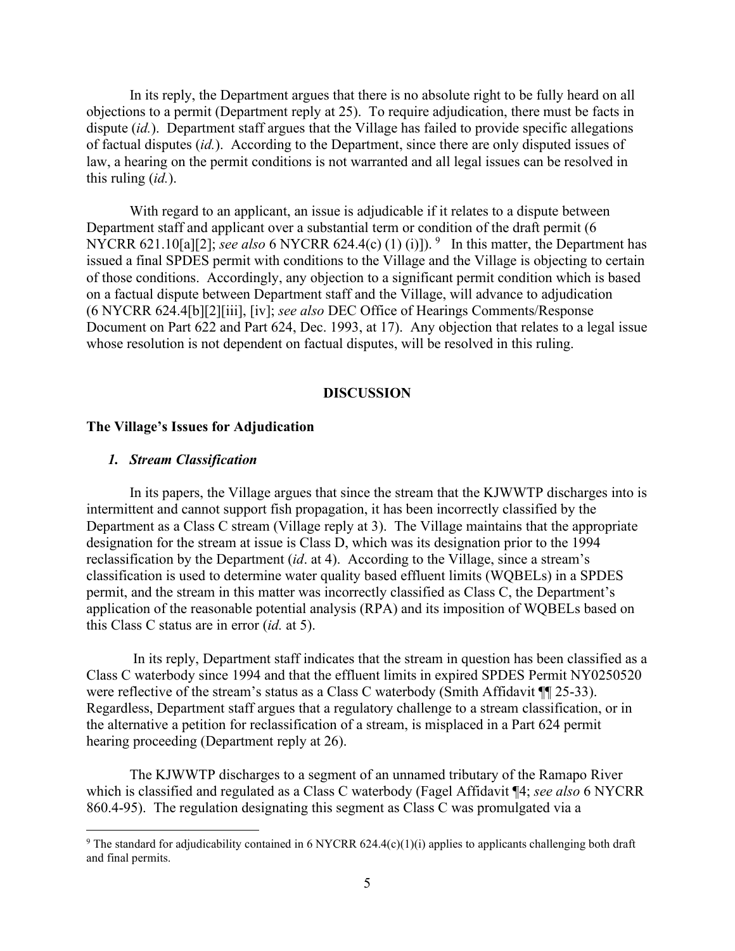In its reply, the Department argues that there is no absolute right to be fully heard on all objections to a permit (Department reply at 25). To require adjudication, there must be facts in dispute (*id.*). Department staff argues that the Village has failed to provide specific allegations of factual disputes (*id.*). According to the Department, since there are only disputed issues of law, a hearing on the permit conditions is not warranted and all legal issues can be resolved in this ruling (*id.*).

With regard to an applicant, an issue is adjudicable if it relates to a dispute between Department staff and applicant over a substantial term or condition of the draft permit (6 NYCRR 621.10[a][2]; *see also* 6 NYCRR 624.4(c) (1) (i)]). <sup>[9](#page-4-0)</sup> In this matter, the Department has issued a final SPDES permit with conditions to the Village and the Village is objecting to certain of those conditions. Accordingly, any objection to a significant permit condition which is based on a factual dispute between Department staff and the Village, will advance to adjudication (6 NYCRR 624.4[b][2][iii], [iv]; *see also* DEC Office of Hearings Comments/Response Document on Part 622 and Part 624, Dec. 1993, at 17). Any objection that relates to a legal issue whose resolution is not dependent on factual disputes, will be resolved in this ruling.

#### **DISCUSSION**

### **The Village's Issues for Adjudication**

### *1. Stream Classification*

In its papers, the Village argues that since the stream that the KJWWTP discharges into is intermittent and cannot support fish propagation, it has been incorrectly classified by the Department as a Class C stream (Village reply at 3). The Village maintains that the appropriate designation for the stream at issue is Class D, which was its designation prior to the 1994 reclassification by the Department (*id*. at 4). According to the Village, since a stream's classification is used to determine water quality based effluent limits (WQBELs) in a SPDES permit, and the stream in this matter was incorrectly classified as Class C, the Department's application of the reasonable potential analysis (RPA) and its imposition of WQBELs based on this Class C status are in error (*id.* at 5).

In its reply, Department staff indicates that the stream in question has been classified as a Class C waterbody since 1994 and that the effluent limits in expired SPDES Permit NY0250520 were reflective of the stream's status as a Class C waterbody (Smith Affidavit ¶ 25-33). Regardless, Department staff argues that a regulatory challenge to a stream classification, or in the alternative a petition for reclassification of a stream, is misplaced in a Part 624 permit hearing proceeding (Department reply at 26).

The KJWWTP discharges to a segment of an unnamed tributary of the Ramapo River which is classified and regulated as a Class C waterbody (Fagel Affidavit ¶4; *see also* 6 NYCRR 860.4-95). The regulation designating this segment as Class C was promulgated via a

<span id="page-4-0"></span><sup>&</sup>lt;sup>9</sup> The standard for adjudicability contained in 6 NYCRR 624.4(c)(1)(i) applies to applicants challenging both draft and final permits.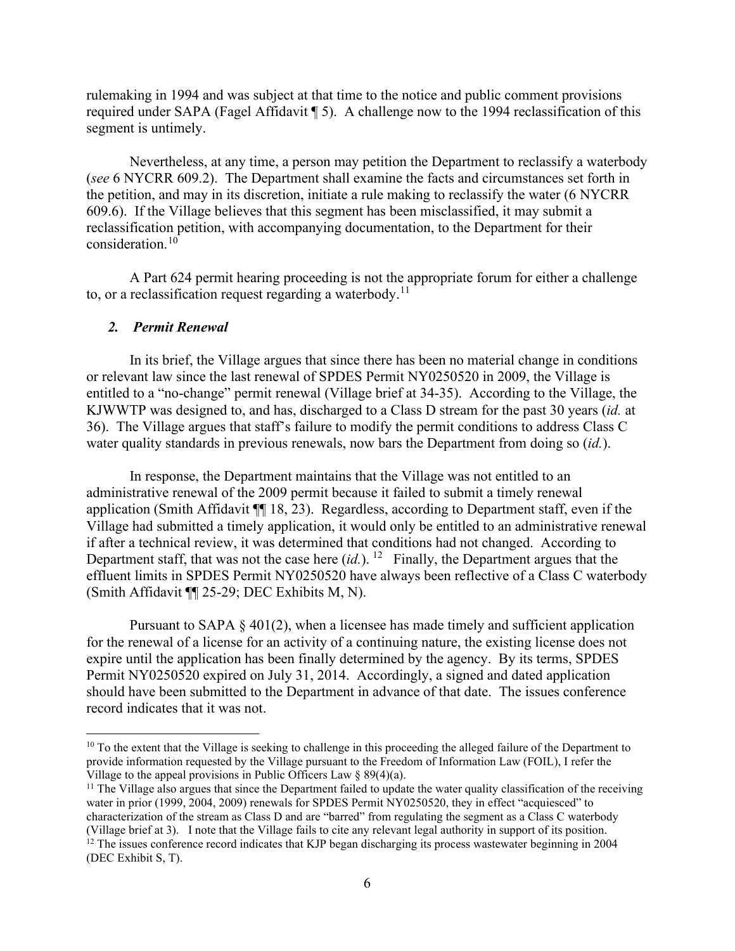rulemaking in 1994 and was subject at that time to the notice and public comment provisions required under SAPA (Fagel Affidavit ¶ 5). A challenge now to the 1994 reclassification of this segment is untimely.

Nevertheless, at any time, a person may petition the Department to reclassify a waterbody (*see* 6 NYCRR 609.2). The Department shall examine the facts and circumstances set forth in the petition, and may in its discretion, initiate a rule making to reclassify the water (6 NYCRR 609.6). If the Village believes that this segment has been misclassified, it may submit a reclassification petition, with accompanying documentation, to the Department for their consideration.<sup>[10](#page-5-0)</sup>

A Part 624 permit hearing proceeding is not the appropriate forum for either a challenge to, or a reclassification request regarding a waterbody.<sup>11</sup>

### *2. Permit Renewal*

In its brief, the Village argues that since there has been no material change in conditions or relevant law since the last renewal of SPDES Permit NY0250520 in 2009, the Village is entitled to a "no-change" permit renewal (Village brief at 34-35). According to the Village, the KJWWTP was designed to, and has, discharged to a Class D stream for the past 30 years (*id.* at 36). The Village argues that staff's failure to modify the permit conditions to address Class C water quality standards in previous renewals, now bars the Department from doing so (*id.*).

In response, the Department maintains that the Village was not entitled to an administrative renewal of the 2009 permit because it failed to submit a timely renewal application (Smith Affidavit ¶¶ 18, 23). Regardless, according to Department staff, even if the Village had submitted a timely application, it would only be entitled to an administrative renewal if after a technical review, it was determined that conditions had not changed. According to Department staff, that was not the case here  $(id)$ . <sup>12</sup> Finally, the Department argues that the effluent limits in SPDES Permit NY0250520 have always been reflective of a Class C waterbody (Smith Affidavit ¶¶ 25-29; DEC Exhibits M, N).

Pursuant to SAPA  $\S$  401(2), when a licensee has made timely and sufficient application for the renewal of a license for an activity of a continuing nature, the existing license does not expire until the application has been finally determined by the agency. By its terms, SPDES Permit NY0250520 expired on July 31, 2014. Accordingly, a signed and dated application should have been submitted to the Department in advance of that date. The issues conference record indicates that it was not.

<span id="page-5-0"></span> $10$  To the extent that the Village is seeking to challenge in this proceeding the alleged failure of the Department to provide information requested by the Village pursuant to the Freedom of Information Law (FOIL), I refer the Village to the appeal provisions in Public Officers Law  $\S 89(4)(a)$ .

<span id="page-5-1"></span> $<sup>11</sup>$  The Village also argues that since the Department failed to update the water quality classification of the receiving</sup> water in prior (1999, 2004, 2009) renewals for SPDES Permit NY0250520, they in effect "acquiesced" to characterization of the stream as Class D and are "barred" from regulating the segment as a Class C waterbody (Village brief at 3). I note that the Village fails to cite any relevant legal authority in support of its posit

<span id="page-5-2"></span> $12$  The issues conference record indicates that KJP began discharging its process wastewater beginning in 2004 (DEC Exhibit S, T).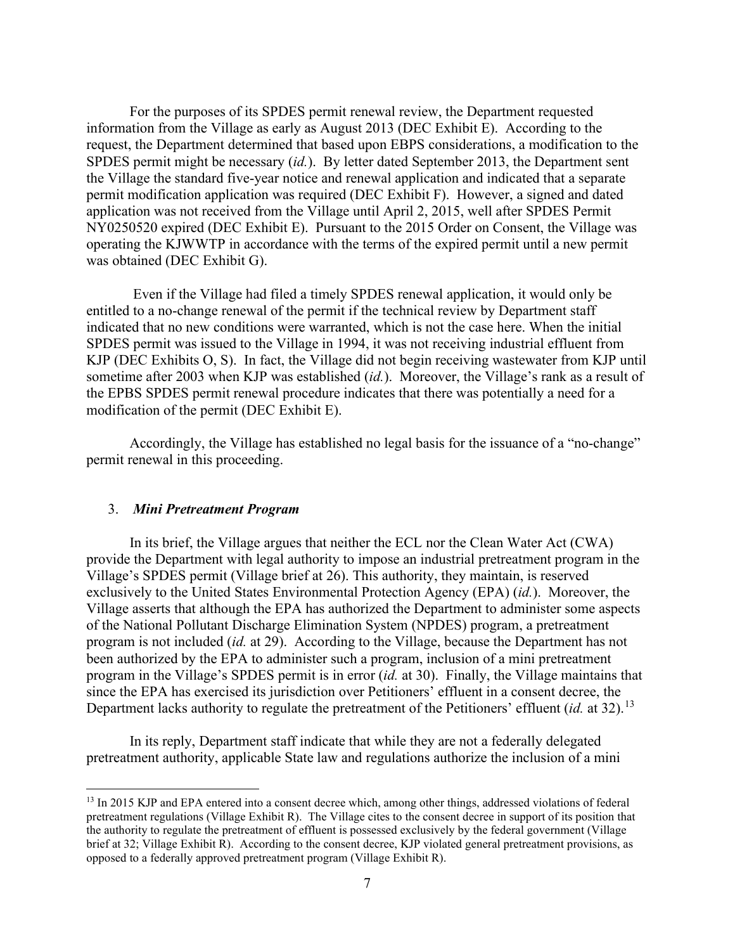For the purposes of its SPDES permit renewal review, the Department requested information from the Village as early as August 2013 (DEC Exhibit E). According to the request, the Department determined that based upon EBPS considerations, a modification to the SPDES permit might be necessary (*id.*). By letter dated September 2013, the Department sent the Village the standard five-year notice and renewal application and indicated that a separate permit modification application was required (DEC Exhibit F). However, a signed and dated application was not received from the Village until April 2, 2015, well after SPDES Permit NY0250520 expired (DEC Exhibit E). Pursuant to the 2015 Order on Consent, the Village was operating the KJWWTP in accordance with the terms of the expired permit until a new permit was obtained (DEC Exhibit G).

Even if the Village had filed a timely SPDES renewal application, it would only be entitled to a no-change renewal of the permit if the technical review by Department staff indicated that no new conditions were warranted, which is not the case here. When the initial SPDES permit was issued to the Village in 1994, it was not receiving industrial effluent from KJP (DEC Exhibits O, S). In fact, the Village did not begin receiving wastewater from KJP until sometime after 2003 when KJP was established (*id.*). Moreover, the Village's rank as a result of the EPBS SPDES permit renewal procedure indicates that there was potentially a need for a modification of the permit (DEC Exhibit E).

Accordingly, the Village has established no legal basis for the issuance of a "no-change" permit renewal in this proceeding.

### 3. *Mini Pretreatment Program*

In its brief, the Village argues that neither the ECL nor the Clean Water Act (CWA) provide the Department with legal authority to impose an industrial pretreatment program in the Village's SPDES permit (Village brief at 26). This authority, they maintain, is reserved exclusively to the United States Environmental Protection Agency (EPA) (*id.*). Moreover, the Village asserts that although the EPA has authorized the Department to administer some aspects of the National Pollutant Discharge Elimination System (NPDES) program, a pretreatment program is not included (*id.* at 29). According to the Village, because the Department has not been authorized by the EPA to administer such a program, inclusion of a mini pretreatment program in the Village's SPDES permit is in error (*id.* at 30). Finally, the Village maintains that since the EPA has exercised its jurisdiction over Petitioners' effluent in a consent decree, the Department lacks authority to regulate the pretreatment of the Petitioners' effluent (*id.* at 32).<sup>13</sup>

In its reply, Department staff indicate that while they are not a federally delegated pretreatment authority, applicable State law and regulations authorize the inclusion of a mini

<span id="page-6-0"></span><sup>&</sup>lt;sup>13</sup> In 2015 KJP and EPA entered into a consent decree which, among other things, addressed violations of federal pretreatment regulations (Village Exhibit R). The Village cites to the consent decree in support of its position that the authority to regulate the pretreatment of effluent is possessed exclusively by the federal government (Village brief at 32; Village Exhibit R). According to the consent decree, KJP violated general pretreatment provisions, as opposed to a federally approved pretreatment program (Village Exhibit R).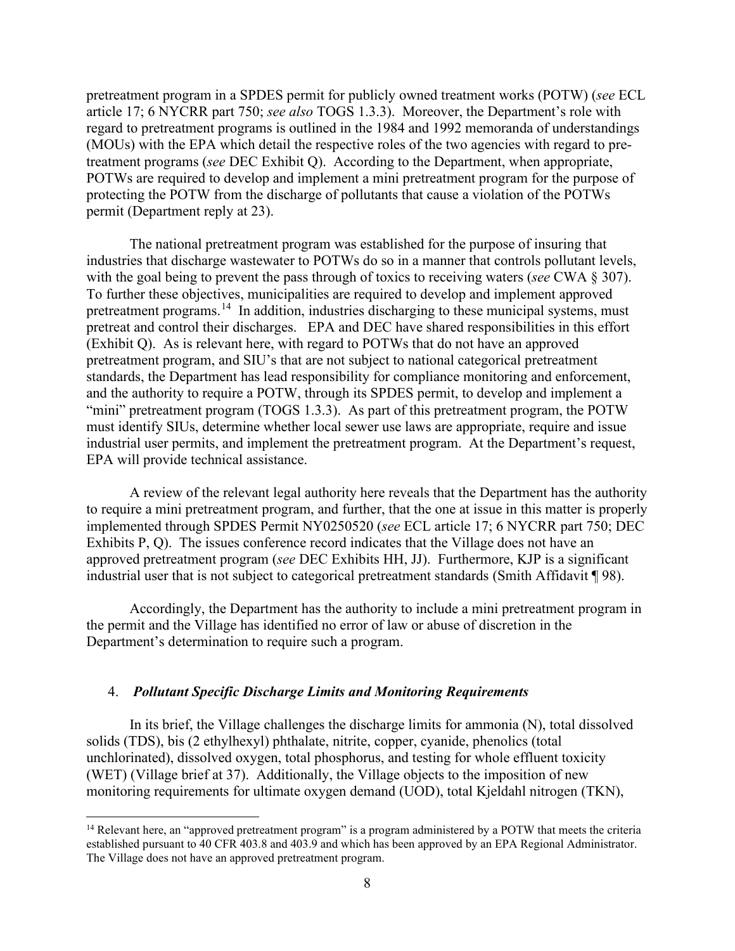pretreatment program in a SPDES permit for publicly owned treatment works (POTW) (*see* ECL article 17; 6 NYCRR part 750; *see also* TOGS 1.3.3). Moreover, the Department's role with regard to pretreatment programs is outlined in the 1984 and 1992 memoranda of understandings (MOUs) with the EPA which detail the respective roles of the two agencies with regard to pretreatment programs (*see* DEC Exhibit Q). According to the Department, when appropriate, POTWs are required to develop and implement a mini pretreatment program for the purpose of protecting the POTW from the discharge of pollutants that cause a violation of the POTWs permit (Department reply at 23).

The national pretreatment program was established for the purpose of insuring that industries that discharge wastewater to POTWs do so in a manner that controls pollutant levels, with the goal being to prevent the pass through of toxics to receiving waters (*see* CWA § 307). To further these objectives, municipalities are required to develop and implement approved pretreatment programs.<sup>14</sup> In addition, industries discharging to these municipal systems, must pretreat and control their discharges. EPA and DEC have shared responsibilities in this effort (Exhibit Q). As is relevant here, with regard to POTWs that do not have an approved pretreatment program, and SIU's that are not subject to national categorical pretreatment standards, the Department has lead responsibility for compliance monitoring and enforcement, and the authority to require a POTW, through its SPDES permit, to develop and implement a "mini" pretreatment program (TOGS 1.3.3). As part of this pretreatment program, the POTW must identify SIUs, determine whether local sewer use laws are appropriate, require and issue industrial user permits, and implement the pretreatment program. At the Department's request, EPA will provide technical assistance.

A review of the relevant legal authority here reveals that the Department has the authority to require a mini pretreatment program, and further, that the one at issue in this matter is properly implemented through SPDES Permit NY0250520 (*see* ECL article 17; 6 NYCRR part 750; DEC Exhibits P, Q). The issues conference record indicates that the Village does not have an approved pretreatment program (*see* DEC Exhibits HH, JJ). Furthermore, KJP is a significant industrial user that is not subject to categorical pretreatment standards (Smith Affidavit ¶ 98).

Accordingly, the Department has the authority to include a mini pretreatment program in the permit and the Village has identified no error of law or abuse of discretion in the Department's determination to require such a program.

### 4. *Pollutant Specific Discharge Limits and Monitoring Requirements*

In its brief, the Village challenges the discharge limits for ammonia (N), total dissolved solids (TDS), bis (2 ethylhexyl) phthalate, nitrite, copper, cyanide, phenolics (total unchlorinated), dissolved oxygen, total phosphorus, and testing for whole effluent toxicity (WET) (Village brief at 37). Additionally, the Village objects to the imposition of new monitoring requirements for ultimate oxygen demand (UOD), total Kjeldahl nitrogen (TKN),

<span id="page-7-0"></span><sup>&</sup>lt;sup>14</sup> Relevant here, an "approved pretreatment program" is a program administered by a POTW that meets the criteria established pursuant to 40 CFR 403.8 and 403.9 and which has been approved by an EPA Regional Administrator. The Village does not have an approved pretreatment program.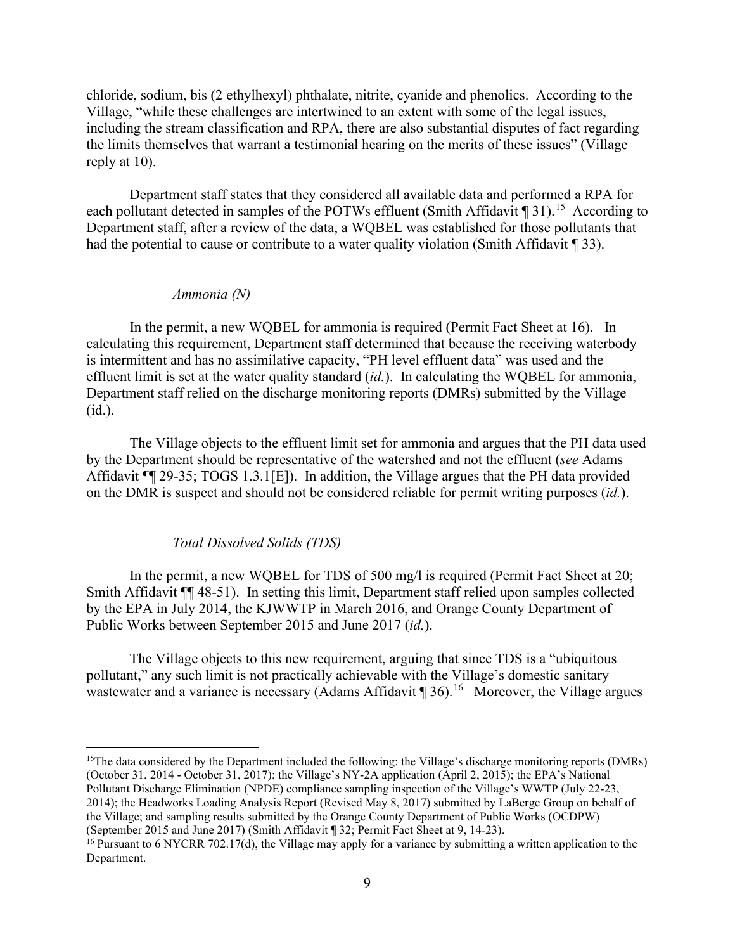chloride, sodium, bis (2 ethylhexyl) phthalate, nitrite, cyanide and phenolics. According to the Village, "while these challenges are intertwined to an extent with some of the legal issues, including the stream classification and RPA, there are also substantial disputes of fact regarding the limits themselves that warrant a testimonial hearing on the merits of these issues" (Village reply at 10).

Department staff states that they considered all available data and performed a RPA for each pollutant detected in samples of the POTWs effluent (Smith Affidavit  $\P$  31).<sup>[15](#page-8-0)</sup> According to Department staff, after a review of the data, a WQBEL was established for those pollutants that had the potential to cause or contribute to a water quality violation (Smith Affidavit ¶ 33).

#### *Ammonia (N)*

In the permit, a new WQBEL for ammonia is required (Permit Fact Sheet at 16). In calculating this requirement, Department staff determined that because the receiving waterbody is intermittent and has no assimilative capacity, "PH level effluent data" was used and the effluent limit is set at the water quality standard (*id.*). In calculating the WQBEL for ammonia, Department staff relied on the discharge monitoring reports (DMRs) submitted by the Village (id.).

The Village objects to the effluent limit set for ammonia and argues that the PH data used by the Department should be representative of the watershed and not the effluent (*see* Adams Affidavit ¶¶ 29-35; TOGS 1.3.1[E]). In addition, the Village argues that the PH data provided on the DMR is suspect and should not be considered reliable for permit writing purposes (*id.*).

### *Total Dissolved Solids (TDS)*

In the permit, a new WOBEL for TDS of 500 mg/l is required (Permit Fact Sheet at 20; Smith Affidavit ¶¶ 48-51). In setting this limit, Department staff relied upon samples collected by the EPA in July 2014, the KJWWTP in March 2016, and Orange County Department of Public Works between September 2015 and June 2017 (*id.*).

The Village objects to this new requirement, arguing that since TDS is a "ubiquitous pollutant," any such limit is not practically achievable with the Village's domestic sanitary wastewater and a variance is necessary (Adams Affidavit  $\P$  36).<sup>[16](#page-8-1)</sup> Moreover, the Village argues

<span id="page-8-0"></span><sup>&</sup>lt;sup>15</sup>The data considered by the Department included the following: the Village's discharge monitoring reports (DMRs) (October 31, 2014 - October 31, 2017); the Village's NY-2A application (April 2, 2015); the EPA's National Pollutant Discharge Elimination (NPDE) compliance sampling inspection of the Village's WWTP (July 22-23, 2014); the Headworks Loading Analysis Report (Revised May 8, 2017) submitted by LaBerge Group on behalf of the Village; and sampling results submitted by the Orange County Department of Public Works (OCDPW) (September 2015 and June 2017) (Smith Affidavit ¶ 32; Permit Fact Sheet at 9, 14-23).

<span id="page-8-1"></span><sup>&</sup>lt;sup>16</sup> Pursuant to 6 NYCRR 702.17(d), the Village may apply for a variance by submitting a written application to the Department.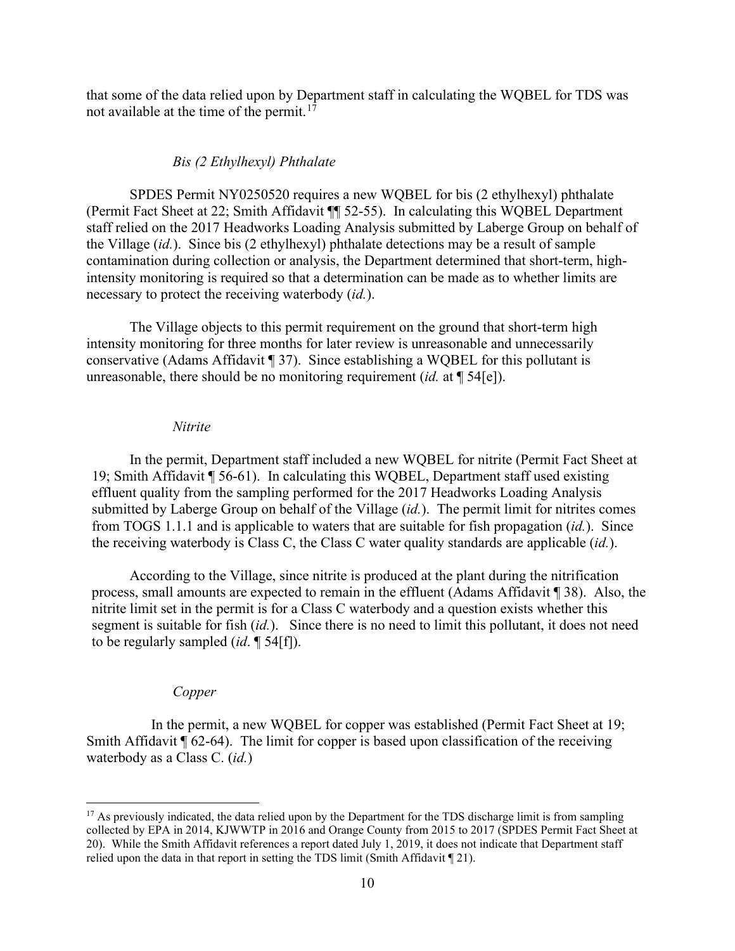that some of the data relied upon by Department staff in calculating the WQBEL for TDS was not available at the time of the permit.<sup>[17](#page-9-0)</sup>

### *Bis (2 Ethylhexyl) Phthalate*

SPDES Permit NY0250520 requires a new WQBEL for bis (2 ethylhexyl) phthalate (Permit Fact Sheet at 22; Smith Affidavit ¶¶ 52-55). In calculating this WQBEL Department staff relied on the 2017 Headworks Loading Analysis submitted by Laberge Group on behalf of the Village (*id.*). Since bis (2 ethylhexyl) phthalate detections may be a result of sample contamination during collection or analysis, the Department determined that short-term, highintensity monitoring is required so that a determination can be made as to whether limits are necessary to protect the receiving waterbody (*id.*).

The Village objects to this permit requirement on the ground that short-term high intensity monitoring for three months for later review is unreasonable and unnecessarily conservative (Adams Affidavit ¶ 37). Since establishing a WQBEL for this pollutant is unreasonable, there should be no monitoring requirement (*id.* at ¶ 54[e]).

#### *Nitrite*

In the permit, Department staff included a new WQBEL for nitrite (Permit Fact Sheet at 19; Smith Affidavit ¶ 56-61). In calculating this WQBEL, Department staff used existing effluent quality from the sampling performed for the 2017 Headworks Loading Analysis submitted by Laberge Group on behalf of the Village (*id.*). The permit limit for nitrites comes from TOGS 1.1.1 and is applicable to waters that are suitable for fish propagation (*id.*). Since the receiving waterbody is Class C, the Class C water quality standards are applicable (*id.*).

According to the Village, since nitrite is produced at the plant during the nitrification process, small amounts are expected to remain in the effluent (Adams Affidavit ¶ 38). Also, the nitrite limit set in the permit is for a Class C waterbody and a question exists whether this segment is suitable for fish (*id.*). Since there is no need to limit this pollutant, it does not need to be regularly sampled (*id*. ¶ 54[f]).

### *Copper*

In the permit, a new WQBEL for copper was established (Permit Fact Sheet at 19; Smith Affidavit  $\P$  62-64). The limit for copper is based upon classification of the receiving waterbody as a Class C. (*id.*)

<span id="page-9-0"></span> $17$  As previously indicated, the data relied upon by the Department for the TDS discharge limit is from sampling collected by EPA in 2014, KJWWTP in 2016 and Orange County from 2015 to 2017 (SPDES Permit Fact Sheet at 20). While the Smith Affidavit references a report dated July 1, 2019, it does not indicate that Department staff relied upon the data in that report in setting the TDS limit (Smith Affidavit ¶ 21).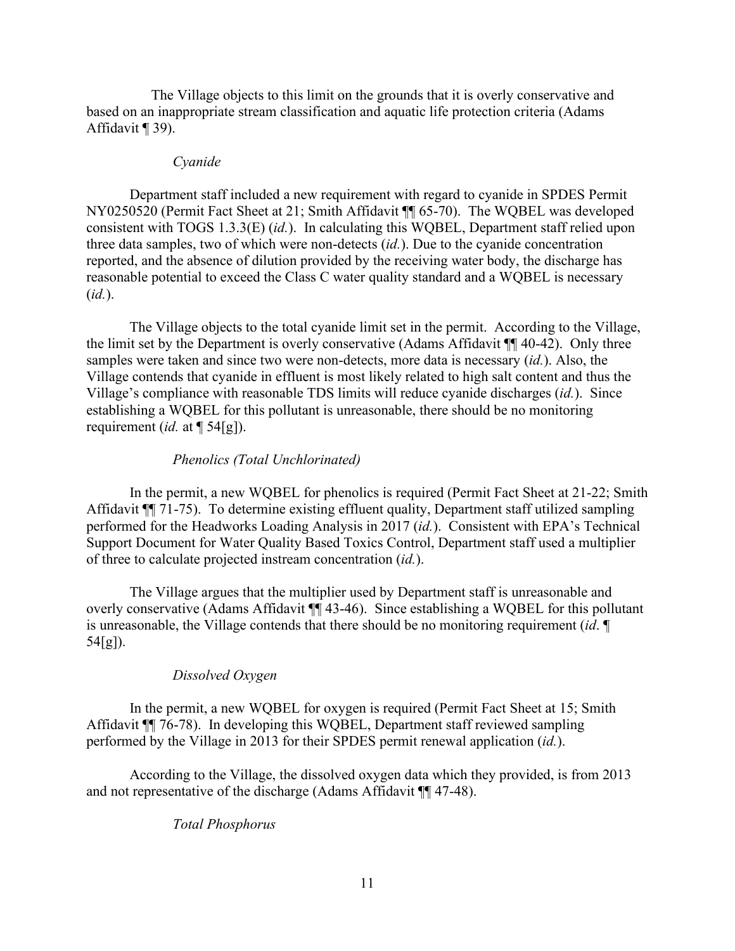The Village objects to this limit on the grounds that it is overly conservative and based on an inappropriate stream classification and aquatic life protection criteria (Adams Affidavit ¶ 39).

### *Cyanide*

Department staff included a new requirement with regard to cyanide in SPDES Permit NY0250520 (Permit Fact Sheet at 21; Smith Affidavit ¶¶ 65-70). The WQBEL was developed consistent with TOGS 1.3.3(E) (*id.*). In calculating this WQBEL, Department staff relied upon three data samples, two of which were non-detects (*id.*). Due to the cyanide concentration reported, and the absence of dilution provided by the receiving water body, the discharge has reasonable potential to exceed the Class C water quality standard and a WQBEL is necessary (*id.*).

The Village objects to the total cyanide limit set in the permit. According to the Village, the limit set by the Department is overly conservative (Adams Affidavit ¶¶ 40-42). Only three samples were taken and since two were non-detects, more data is necessary (*id.*). Also, the Village contends that cyanide in effluent is most likely related to high salt content and thus the Village's compliance with reasonable TDS limits will reduce cyanide discharges (*id.*). Since establishing a WQBEL for this pollutant is unreasonable, there should be no monitoring requirement (*id.* at ¶ 54[g]).

# *Phenolics (Total Unchlorinated)*

In the permit, a new WQBEL for phenolics is required (Permit Fact Sheet at 21-22; Smith Affidavit ¶¶ 71-75). To determine existing effluent quality, Department staff utilized sampling performed for the Headworks Loading Analysis in 2017 (*id.*). Consistent with EPA's Technical Support Document for Water Quality Based Toxics Control, Department staff used a multiplier of three to calculate projected instream concentration (*id.*).

The Village argues that the multiplier used by Department staff is unreasonable and overly conservative (Adams Affidavit ¶¶ 43-46). Since establishing a WQBEL for this pollutant is unreasonable, the Village contends that there should be no monitoring requirement (*id*. ¶ 54[g]).

# *Dissolved Oxygen*

In the permit, a new WQBEL for oxygen is required (Permit Fact Sheet at 15; Smith Affidavit ¶¶ 76-78). In developing this WQBEL, Department staff reviewed sampling performed by the Village in 2013 for their SPDES permit renewal application (*id.*).

According to the Village, the dissolved oxygen data which they provided, is from 2013 and not representative of the discharge (Adams Affidavit ¶¶ 47-48).

# *Total Phosphorus*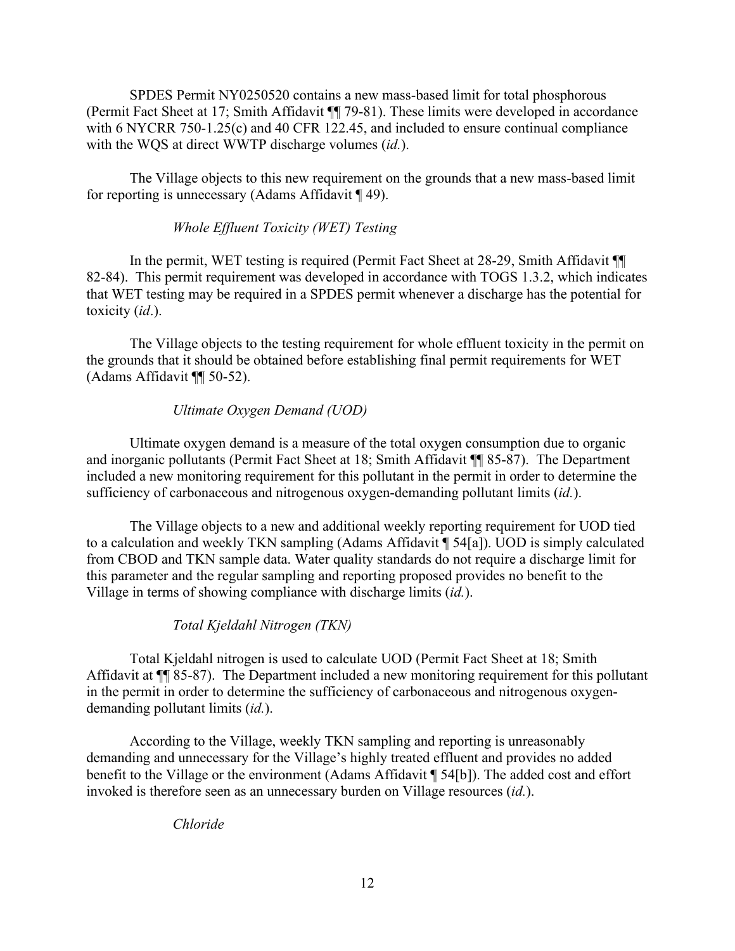SPDES Permit NY0250520 contains a new mass-based limit for total phosphorous (Permit Fact Sheet at 17; Smith Affidavit ¶¶ 79-81). These limits were developed in accordance with 6 NYCRR 750-1.25(c) and 40 CFR 122.45, and included to ensure continual compliance with the WQS at direct WWTP discharge volumes (*id.*).

The Village objects to this new requirement on the grounds that a new mass-based limit for reporting is unnecessary (Adams Affidavit ¶ 49).

# *Whole Effluent Toxicity (WET) Testing*

In the permit, WET testing is required (Permit Fact Sheet at 28-29, Smith Affidavit ¶¶ 82-84). This permit requirement was developed in accordance with TOGS 1.3.2, which indicates that WET testing may be required in a SPDES permit whenever a discharge has the potential for toxicity (*id*.).

The Village objects to the testing requirement for whole effluent toxicity in the permit on the grounds that it should be obtained before establishing final permit requirements for WET (Adams Affidavit ¶¶ 50-52).

# *Ultimate Oxygen Demand (UOD)*

Ultimate oxygen demand is a measure of the total oxygen consumption due to organic and inorganic pollutants (Permit Fact Sheet at 18; Smith Affidavit ¶¶ 85-87). The Department included a new monitoring requirement for this pollutant in the permit in order to determine the sufficiency of carbonaceous and nitrogenous oxygen-demanding pollutant limits (*id.*).

The Village objects to a new and additional weekly reporting requirement for UOD tied to a calculation and weekly TKN sampling (Adams Affidavit ¶ 54[a]). UOD is simply calculated from CBOD and TKN sample data. Water quality standards do not require a discharge limit for this parameter and the regular sampling and reporting proposed provides no benefit to the Village in terms of showing compliance with discharge limits (*id.*).

## *Total Kjeldahl Nitrogen (TKN)*

Total Kjeldahl nitrogen is used to calculate UOD (Permit Fact Sheet at 18; Smith Affidavit at ¶¶ 85-87). The Department included a new monitoring requirement for this pollutant in the permit in order to determine the sufficiency of carbonaceous and nitrogenous oxygendemanding pollutant limits (*id.*).

According to the Village, weekly TKN sampling and reporting is unreasonably demanding and unnecessary for the Village's highly treated effluent and provides no added benefit to the Village or the environment (Adams Affidavit ¶ 54[b]). The added cost and effort invoked is therefore seen as an unnecessary burden on Village resources (*id.*).

*Chloride*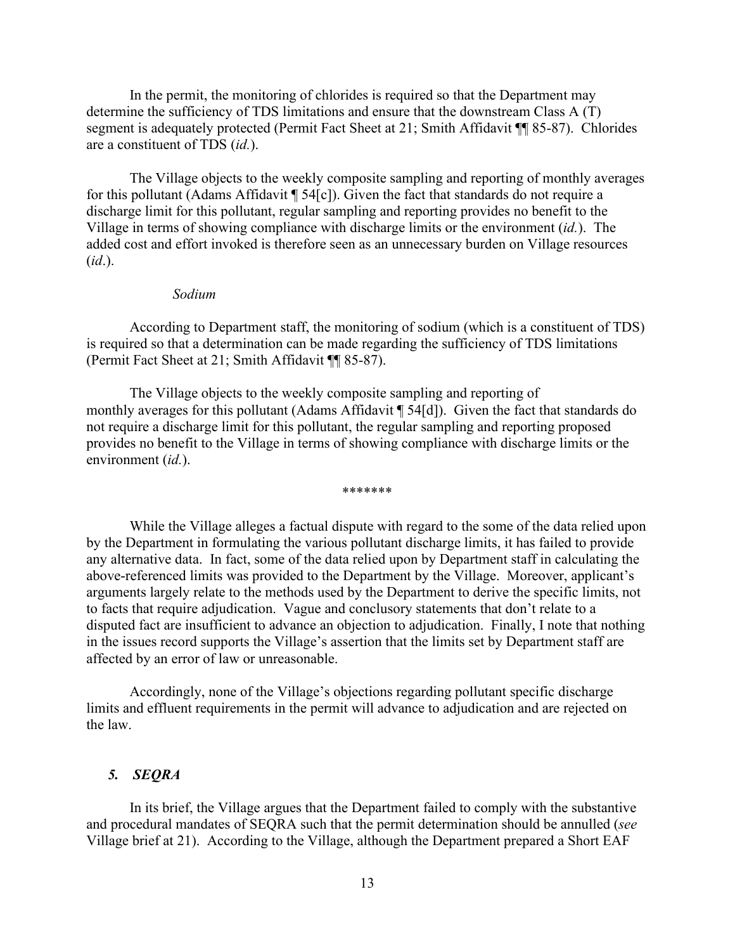In the permit, the monitoring of chlorides is required so that the Department may determine the sufficiency of TDS limitations and ensure that the downstream Class A (T) segment is adequately protected (Permit Fact Sheet at 21; Smith Affidavit ¶¶ 85-87). Chlorides are a constituent of TDS (*id.*).

The Village objects to the weekly composite sampling and reporting of monthly averages for this pollutant (Adams Affidavit ¶ 54[c]). Given the fact that standards do not require a discharge limit for this pollutant, regular sampling and reporting provides no benefit to the Village in terms of showing compliance with discharge limits or the environment (*id.*). The added cost and effort invoked is therefore seen as an unnecessary burden on Village resources (*id*.).

### *Sodium*

According to Department staff, the monitoring of sodium (which is a constituent of TDS) is required so that a determination can be made regarding the sufficiency of TDS limitations (Permit Fact Sheet at 21; Smith Affidavit ¶¶ 85-87).

The Village objects to the weekly composite sampling and reporting of monthly averages for this pollutant (Adams Affidavit ¶ 54[d]). Given the fact that standards do not require a discharge limit for this pollutant, the regular sampling and reporting proposed provides no benefit to the Village in terms of showing compliance with discharge limits or the environment (*id.*).

\*\*\*\*\*\*\*

While the Village alleges a factual dispute with regard to the some of the data relied upon by the Department in formulating the various pollutant discharge limits, it has failed to provide any alternative data. In fact, some of the data relied upon by Department staff in calculating the above-referenced limits was provided to the Department by the Village. Moreover, applicant's arguments largely relate to the methods used by the Department to derive the specific limits, not to facts that require adjudication. Vague and conclusory statements that don't relate to a disputed fact are insufficient to advance an objection to adjudication. Finally, I note that nothing in the issues record supports the Village's assertion that the limits set by Department staff are affected by an error of law or unreasonable.

Accordingly, none of the Village's objections regarding pollutant specific discharge limits and effluent requirements in the permit will advance to adjudication and are rejected on the law.

# *5. SEQRA*

In its brief, the Village argues that the Department failed to comply with the substantive and procedural mandates of SEQRA such that the permit determination should be annulled (*see* Village brief at 21). According to the Village, although the Department prepared a Short EAF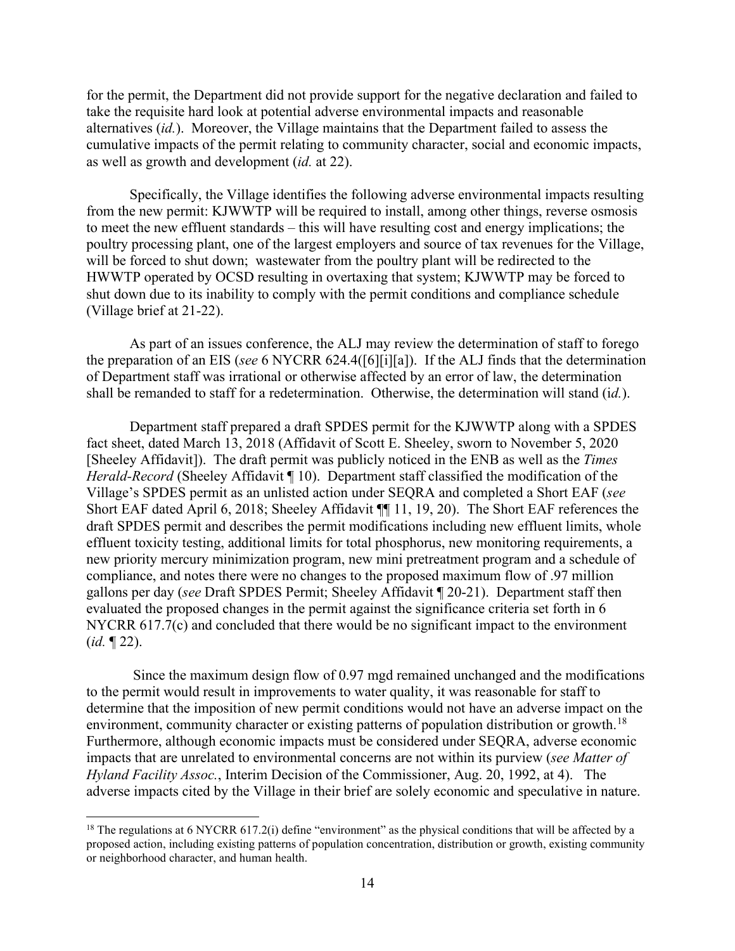for the permit, the Department did not provide support for the negative declaration and failed to take the requisite hard look at potential adverse environmental impacts and reasonable alternatives (*id.*). Moreover, the Village maintains that the Department failed to assess the cumulative impacts of the permit relating to community character, social and economic impacts, as well as growth and development (*id.* at 22).

Specifically, the Village identifies the following adverse environmental impacts resulting from the new permit: KJWWTP will be required to install, among other things, reverse osmosis to meet the new effluent standards – this will have resulting cost and energy implications; the poultry processing plant, one of the largest employers and source of tax revenues for the Village, will be forced to shut down; wastewater from the poultry plant will be redirected to the HWWTP operated by OCSD resulting in overtaxing that system; KJWWTP may be forced to shut down due to its inability to comply with the permit conditions and compliance schedule (Village brief at 21-22).

As part of an issues conference, the ALJ may review the determination of staff to forego the preparation of an EIS (*see* 6 NYCRR 624.4([6][i][a]). If the ALJ finds that the determination of Department staff was irrational or otherwise affected by an error of law, the determination shall be remanded to staff for a redetermination. Otherwise, the determination will stand (i*d.*).

Department staff prepared a draft SPDES permit for the KJWWTP along with a SPDES fact sheet, dated March 13, 2018 (Affidavit of Scott E. Sheeley, sworn to November 5, 2020 [Sheeley Affidavit]). The draft permit was publicly noticed in the ENB as well as the *Times Herald-Record* (Sheeley Affidavit ¶ 10). Department staff classified the modification of the Village's SPDES permit as an unlisted action under SEQRA and completed a Short EAF (*see*  Short EAF dated April 6, 2018; Sheeley Affidavit ¶¶ 11, 19, 20). The Short EAF references the draft SPDES permit and describes the permit modifications including new effluent limits, whole effluent toxicity testing, additional limits for total phosphorus, new monitoring requirements, a new priority mercury minimization program, new mini pretreatment program and a schedule of compliance, and notes there were no changes to the proposed maximum flow of .97 million gallons per day (*see* Draft SPDES Permit; Sheeley Affidavit ¶ 20-21). Department staff then evaluated the proposed changes in the permit against the significance criteria set forth in 6 NYCRR 617.7(c) and concluded that there would be no significant impact to the environment (*id.* ¶ 22).

Since the maximum design flow of 0.97 mgd remained unchanged and the modifications to the permit would result in improvements to water quality, it was reasonable for staff to determine that the imposition of new permit conditions would not have an adverse impact on the environment, community character or existing patterns of population distribution or growth.<sup>[18](#page-13-0)</sup> Furthermore, although economic impacts must be considered under SEQRA, adverse economic impacts that are unrelated to environmental concerns are not within its purview (*see Matter of Hyland Facility Assoc.*, Interim Decision of the Commissioner, Aug. 20, 1992, at 4). The adverse impacts cited by the Village in their brief are solely economic and speculative in nature.

<span id="page-13-0"></span><sup>&</sup>lt;sup>18</sup> The regulations at 6 NYCRR 617.2(i) define "environment" as the physical conditions that will be affected by a proposed action, including existing patterns of population concentration, distribution or growth, existing community or neighborhood character, and human health.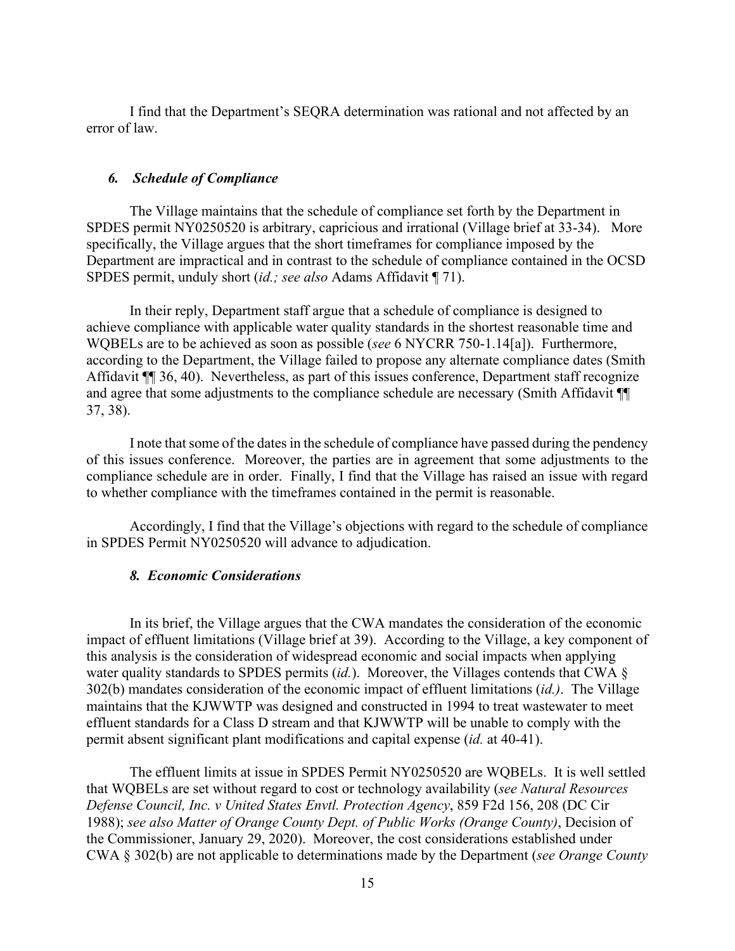I find that the Department's SEQRA determination was rational and not affected by an error of law.

### *6. Schedule of Compliance*

The Village maintains that the schedule of compliance set forth by the Department in SPDES permit NY0250520 is arbitrary, capricious and irrational (Village brief at 33-34). More specifically, the Village argues that the short timeframes for compliance imposed by the Department are impractical and in contrast to the schedule of compliance contained in the OCSD SPDES permit, unduly short (*id.; see also* Adams Affidavit ¶ 71).

In their reply, Department staff argue that a schedule of compliance is designed to achieve compliance with applicable water quality standards in the shortest reasonable time and WQBELs are to be achieved as soon as possible (*see* 6 NYCRR 750-1.14[a]). Furthermore, according to the Department, the Village failed to propose any alternate compliance dates (Smith Affidavit ¶ 36, 40). Nevertheless, as part of this issues conference, Department staff recognize and agree that some adjustments to the compliance schedule are necessary (Smith Affidavit ¶¶ 37, 38).

I note that some of the dates in the schedule of compliance have passed during the pendency of this issues conference. Moreover, the parties are in agreement that some adjustments to the compliance schedule are in order. Finally, I find that the Village has raised an issue with regard to whether compliance with the timeframes contained in the permit is reasonable.

Accordingly, I find that the Village's objections with regard to the schedule of compliance in SPDES Permit NY0250520 will advance to adjudication.

# *8. Economic Considerations*

In its brief, the Village argues that the CWA mandates the consideration of the economic impact of effluent limitations (Village brief at 39). According to the Village, a key component of this analysis is the consideration of widespread economic and social impacts when applying water quality standards to SPDES permits (*id.*). Moreover, the Villages contends that CWA § 302(b) mandates consideration of the economic impact of effluent limitations (*id.)*. The Village maintains that the KJWWTP was designed and constructed in 1994 to treat wastewater to meet effluent standards for a Class D stream and that KJWWTP will be unable to comply with the permit absent significant plant modifications and capital expense (*id.* at 40-41).

The effluent limits at issue in SPDES Permit NY0250520 are WQBELs. It is well settled that WQBELs are set without regard to cost or technology availability (*see Natural Resources Defense Council, Inc. v United States Envtl. Protection Agency*, 859 F2d 156, 208 (DC Cir 1988); *see also Matter of Orange County Dept. of Public Works (Orange County)*, Decision of the Commissioner, January 29, 2020). Moreover, the cost considerations established under CWA § 302(b) are not applicable to determinations made by the Department (*see Orange County*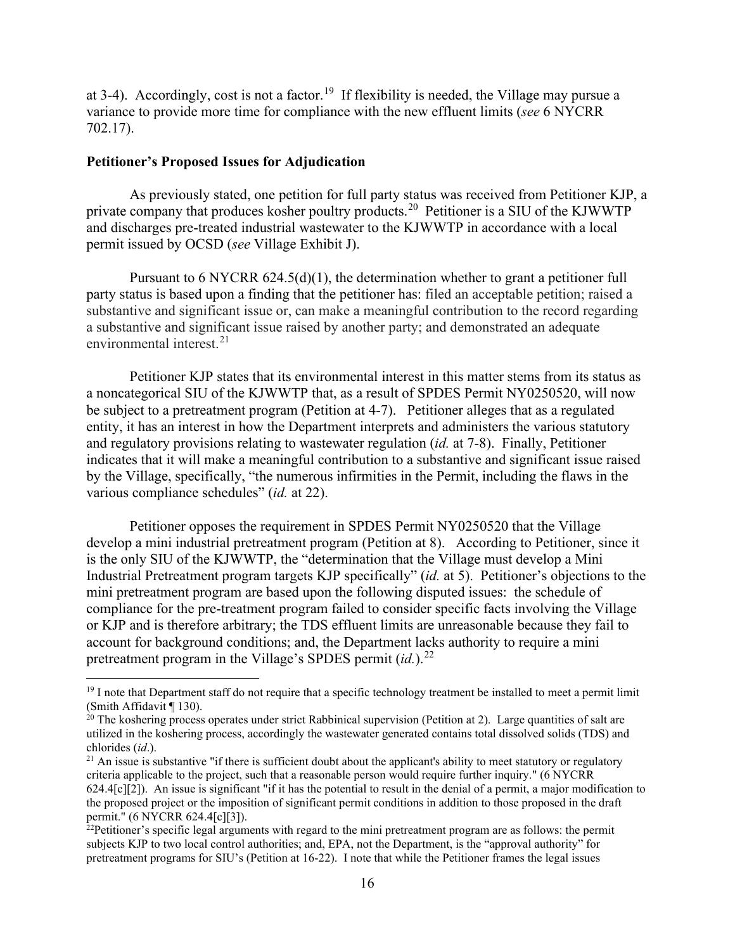at 3-4). Accordingly, cost is not a factor.<sup>[19](#page-15-0)</sup> If flexibility is needed, the Village may pursue a variance to provide more time for compliance with the new effluent limits (*see* 6 NYCRR 702.17).

## **Petitioner's Proposed Issues for Adjudication**

As previously stated, one petition for full party status was received from Petitioner KJP, a private company that produces kosher poultry products.[20](#page-15-1) Petitioner is a SIU of the KJWWTP and discharges pre-treated industrial wastewater to the KJWWTP in accordance with a local permit issued by OCSD (*see* Village Exhibit J).

Pursuant to 6 NYCRR 624.5(d)(1), the determination whether to grant a petitioner full party status is based upon a finding that the petitioner has: filed an acceptable petition; raised a substantive and significant issue or, can make a meaningful contribution to the record regarding a substantive and significant issue raised by another party; and demonstrated an adequate environmental interest.<sup>[21](#page-15-2)</sup>

Petitioner KJP states that its environmental interest in this matter stems from its status as a noncategorical SIU of the KJWWTP that, as a result of SPDES Permit NY0250520, will now be subject to a pretreatment program (Petition at 4-7). Petitioner alleges that as a regulated entity, it has an interest in how the Department interprets and administers the various statutory and regulatory provisions relating to wastewater regulation (*id.* at 7-8). Finally, Petitioner indicates that it will make a meaningful contribution to a substantive and significant issue raised by the Village, specifically, "the numerous infirmities in the Permit, including the flaws in the various compliance schedules" (*id.* at 22).

Petitioner opposes the requirement in SPDES Permit NY0250520 that the Village develop a mini industrial pretreatment program (Petition at 8). According to Petitioner, since it is the only SIU of the KJWWTP, the "determination that the Village must develop a Mini Industrial Pretreatment program targets KJP specifically" (*id.* at 5). Petitioner's objections to the mini pretreatment program are based upon the following disputed issues: the schedule of compliance for the pre-treatment program failed to consider specific facts involving the Village or KJP and is therefore arbitrary; the TDS effluent limits are unreasonable because they fail to account for background conditions; and, the Department lacks authority to require a mini pretreatment program in the Village's SPDES permit (*id.*).<sup>[22](#page-15-3)</sup>

<span id="page-15-0"></span><sup>&</sup>lt;sup>19</sup> I note that Department staff do not require that a specific technology treatment be installed to meet a permit limit (Smith Affidavit ¶ 130).

<span id="page-15-1"></span> $20$  The koshering process operates under strict Rabbinical supervision (Petition at 2). Large quantities of salt are utilized in the koshering process, accordingly the wastewater generated contains total dissolved solids (TDS) and chlorides (*id*.).<br><sup>21</sup> An issue is substantive "if there is sufficient doubt about the applicant's ability to meet statutory or regulatory

<span id="page-15-2"></span>criteria applicable to the project, such that a reasonable person would require further inquiry." (6 NYCRR 624.4[c][2]). An issue is significant "if it has the potential to result in the denial of a permit, a major modification to the proposed project or the imposition of significant permit conditions in addition to those proposed in the draft permit." (6 NYCRR 624.4[c][3]).

<span id="page-15-3"></span> $^{22}$ Petitioner's specific legal arguments with regard to the mini pretreatment program are as follows: the permit subjects KJP to two local control authorities; and, EPA, not the Department, is the "approval authority" for pretreatment programs for SIU's (Petition at 16-22). I note that while the Petitioner frames the legal issues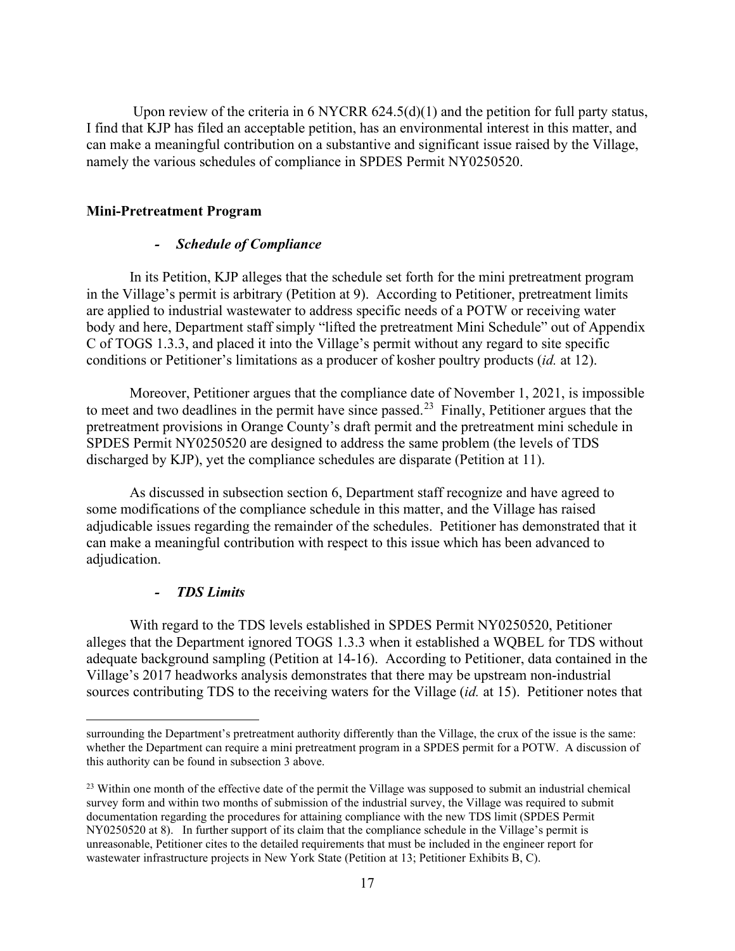Upon review of the criteria in 6 NYCRR 624.5(d)(1) and the petition for full party status, I find that KJP has filed an acceptable petition, has an environmental interest in this matter, and can make a meaningful contribution on a substantive and significant issue raised by the Village, namely the various schedules of compliance in SPDES Permit NY0250520.

# **Mini-Pretreatment Program**

# *- Schedule of Compliance*

In its Petition, KJP alleges that the schedule set forth for the mini pretreatment program in the Village's permit is arbitrary (Petition at 9). According to Petitioner, pretreatment limits are applied to industrial wastewater to address specific needs of a POTW or receiving water body and here, Department staff simply "lifted the pretreatment Mini Schedule" out of Appendix C of TOGS 1.3.3, and placed it into the Village's permit without any regard to site specific conditions or Petitioner's limitations as a producer of kosher poultry products (*id.* at 12).

Moreover, Petitioner argues that the compliance date of November 1, 2021, is impossible to meet and two deadlines in the permit have since passed.<sup>23</sup> Finally, Petitioner argues that the pretreatment provisions in Orange County's draft permit and the pretreatment mini schedule in SPDES Permit NY0250520 are designed to address the same problem (the levels of TDS discharged by KJP), yet the compliance schedules are disparate (Petition at 11).

As discussed in subsection section 6, Department staff recognize and have agreed to some modifications of the compliance schedule in this matter, and the Village has raised adjudicable issues regarding the remainder of the schedules. Petitioner has demonstrated that it can make a meaningful contribution with respect to this issue which has been advanced to adjudication.

### *- TDS Limits*

With regard to the TDS levels established in SPDES Permit NY0250520, Petitioner alleges that the Department ignored TOGS 1.3.3 when it established a WQBEL for TDS without adequate background sampling (Petition at 14-16). According to Petitioner, data contained in the Village's 2017 headworks analysis demonstrates that there may be upstream non-industrial sources contributing TDS to the receiving waters for the Village (*id.* at 15). Petitioner notes that

surrounding the Department's pretreatment authority differently than the Village, the crux of the issue is the same: whether the Department can require a mini pretreatment program in a SPDES permit for a POTW. A discussion of this authority can be found in subsection 3 above.

<span id="page-16-0"></span><sup>&</sup>lt;sup>23</sup> Within one month of the effective date of the permit the Village was supposed to submit an industrial chemical survey form and within two months of submission of the industrial survey, the Village was required to submit documentation regarding the procedures for attaining compliance with the new TDS limit (SPDES Permit NY0250520 at 8). In further support of its claim that the compliance schedule in the Village's permit is unreasonable, Petitioner cites to the detailed requirements that must be included in the engineer report for wastewater infrastructure projects in New York State (Petition at 13; Petitioner Exhibits B, C).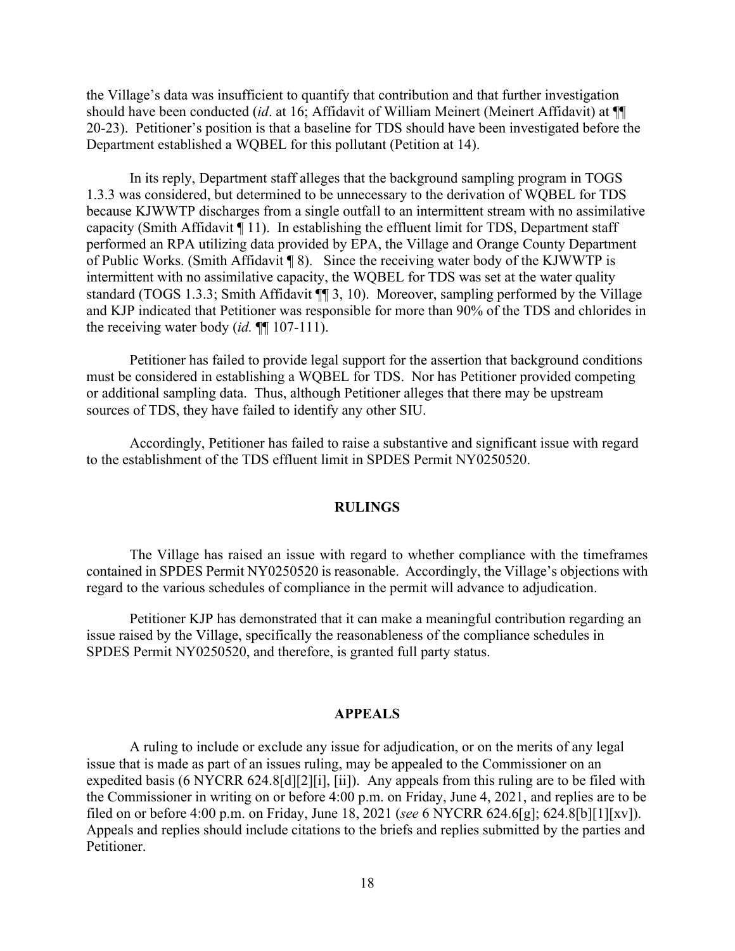the Village's data was insufficient to quantify that contribution and that further investigation should have been conducted (*id*. at 16; Affidavit of William Meinert (Meinert Affidavit) at ¶¶ 20-23). Petitioner's position is that a baseline for TDS should have been investigated before the Department established a WQBEL for this pollutant (Petition at 14).

In its reply, Department staff alleges that the background sampling program in TOGS 1.3.3 was considered, but determined to be unnecessary to the derivation of WQBEL for TDS because KJWWTP discharges from a single outfall to an intermittent stream with no assimilative capacity (Smith Affidavit ¶ 11). In establishing the effluent limit for TDS, Department staff performed an RPA utilizing data provided by EPA, the Village and Orange County Department of Public Works. (Smith Affidavit ¶ 8). Since the receiving water body of the KJWWTP is intermittent with no assimilative capacity, the WQBEL for TDS was set at the water quality standard (TOGS 1.3.3; Smith Affidavit ¶¶ 3, 10). Moreover, sampling performed by the Village and KJP indicated that Petitioner was responsible for more than 90% of the TDS and chlorides in the receiving water body (*id.* ¶¶ 107-111).

Petitioner has failed to provide legal support for the assertion that background conditions must be considered in establishing a WQBEL for TDS. Nor has Petitioner provided competing or additional sampling data. Thus, although Petitioner alleges that there may be upstream sources of TDS, they have failed to identify any other SIU.

Accordingly, Petitioner has failed to raise a substantive and significant issue with regard to the establishment of the TDS effluent limit in SPDES Permit NY0250520.

#### **RULINGS**

The Village has raised an issue with regard to whether compliance with the timeframes contained in SPDES Permit NY0250520 is reasonable. Accordingly, the Village's objections with regard to the various schedules of compliance in the permit will advance to adjudication.

Petitioner KJP has demonstrated that it can make a meaningful contribution regarding an issue raised by the Village, specifically the reasonableness of the compliance schedules in SPDES Permit NY0250520, and therefore, is granted full party status.

### **APPEALS**

A ruling to include or exclude any issue for adjudication, or on the merits of any legal issue that is made as part of an issues ruling, may be appealed to the Commissioner on an expedited basis (6 NYCRR 624.8[d][2][i], [ii]). Any appeals from this ruling are to be filed with the Commissioner in writing on or before 4:00 p.m. on Friday, June 4, 2021, and replies are to be filed on or before 4:00 p.m. on Friday, June 18, 2021 (*see* 6 NYCRR 624.6[g]; 624.8[b][1][xv]). Appeals and replies should include citations to the briefs and replies submitted by the parties and Petitioner.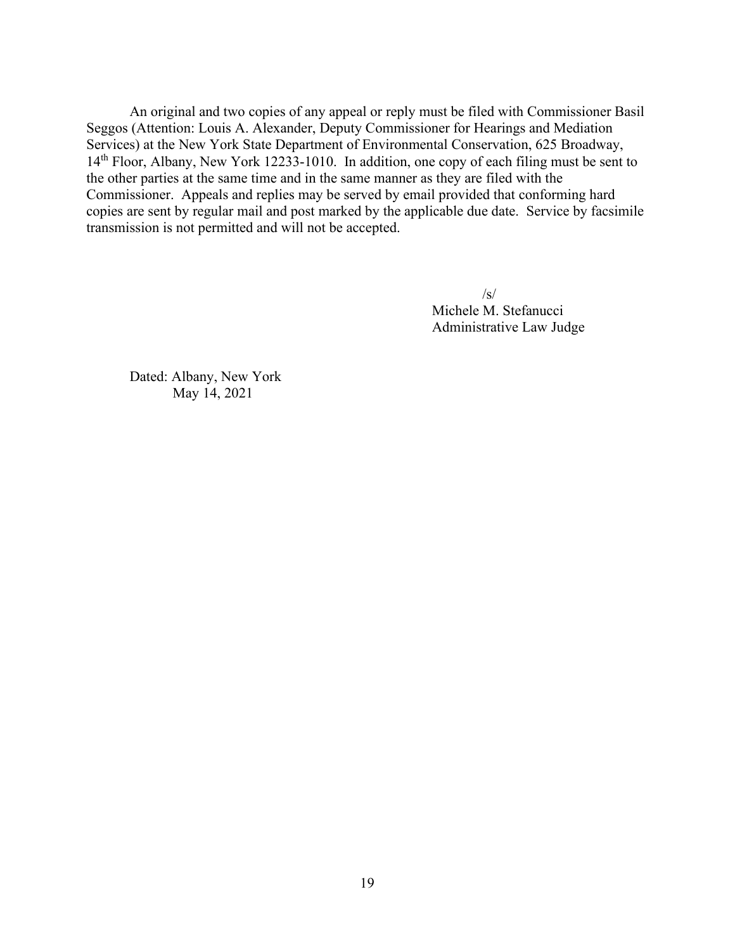An original and two copies of any appeal or reply must be filed with Commissioner Basil Seggos (Attention: Louis A. Alexander, Deputy Commissioner for Hearings and Mediation Services) at the New York State Department of Environmental Conservation, 625 Broadway, 14th Floor, Albany, New York 12233-1010. In addition, one copy of each filing must be sent to the other parties at the same time and in the same manner as they are filed with the Commissioner. Appeals and replies may be served by email provided that conforming hard copies are sent by regular mail and post marked by the applicable due date. Service by facsimile transmission is not permitted and will not be accepted.

> $\sqrt{s}$ Michele M. Stefanucci Administrative Law Judge

Dated: Albany, New York May 14, 2021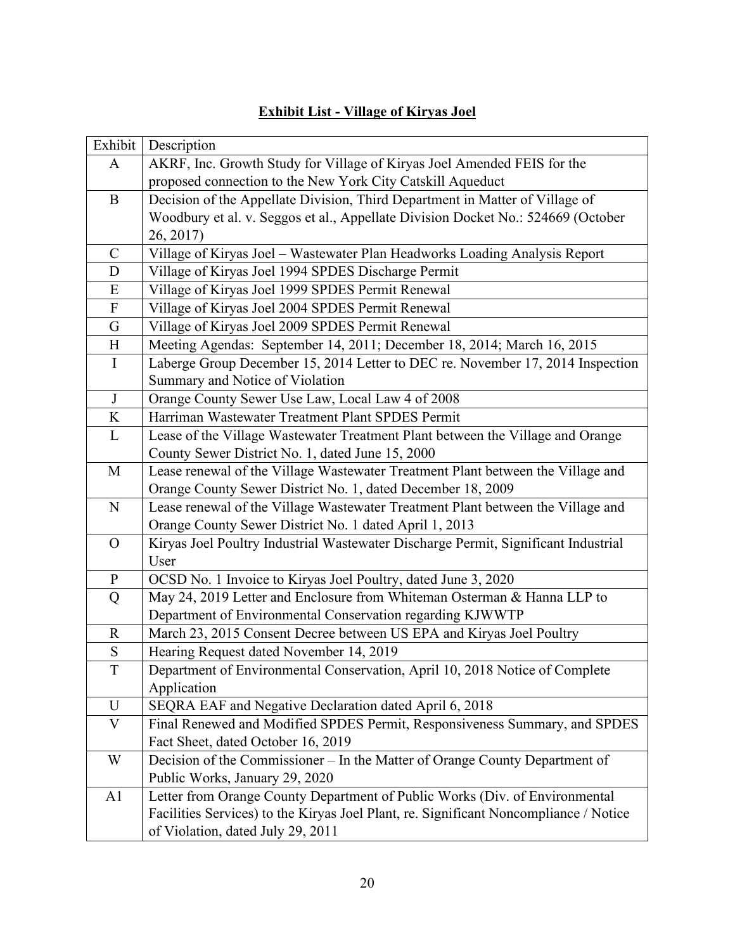| <b>Exhibit List - Village of Kiryas Joel</b> |  |
|----------------------------------------------|--|
|                                              |  |

| Exhibit                   | Description                                                                           |
|---------------------------|---------------------------------------------------------------------------------------|
| A                         | AKRF, Inc. Growth Study for Village of Kiryas Joel Amended FEIS for the               |
|                           | proposed connection to the New York City Catskill Aqueduct                            |
| $\bf{B}$                  | Decision of the Appellate Division, Third Department in Matter of Village of          |
|                           | Woodbury et al. v. Seggos et al., Appellate Division Docket No.: 524669 (October      |
|                           | 26, 2017)                                                                             |
| $\mathsf{C}$              | Village of Kiryas Joel - Wastewater Plan Headworks Loading Analysis Report            |
| D                         | Village of Kiryas Joel 1994 SPDES Discharge Permit                                    |
| Ε                         | Village of Kiryas Joel 1999 SPDES Permit Renewal                                      |
| $\boldsymbol{\mathrm{F}}$ | Village of Kiryas Joel 2004 SPDES Permit Renewal                                      |
| $\mathbf G$               | Village of Kiryas Joel 2009 SPDES Permit Renewal                                      |
| $H_{\rm}$                 | Meeting Agendas: September 14, 2011; December 18, 2014; March 16, 2015                |
| $\mathbf I$               | Laberge Group December 15, 2014 Letter to DEC re. November 17, 2014 Inspection        |
|                           | Summary and Notice of Violation                                                       |
| J                         | Orange County Sewer Use Law, Local Law 4 of 2008                                      |
| K                         | Harriman Wastewater Treatment Plant SPDES Permit                                      |
| L                         | Lease of the Village Wastewater Treatment Plant between the Village and Orange        |
|                           | County Sewer District No. 1, dated June 15, 2000                                      |
| M                         | Lease renewal of the Village Wastewater Treatment Plant between the Village and       |
|                           | Orange County Sewer District No. 1, dated December 18, 2009                           |
| ${\bf N}$                 | Lease renewal of the Village Wastewater Treatment Plant between the Village and       |
|                           | Orange County Sewer District No. 1 dated April 1, 2013                                |
| $\mathbf{O}$              | Kiryas Joel Poultry Industrial Wastewater Discharge Permit, Significant Industrial    |
|                           | User                                                                                  |
| $\mathbf{P}$              | OCSD No. 1 Invoice to Kiryas Joel Poultry, dated June 3, 2020                         |
| Q                         | May 24, 2019 Letter and Enclosure from Whiteman Osterman & Hanna LLP to               |
|                           | Department of Environmental Conservation regarding KJWWTP                             |
| $\mathbf R$               | March 23, 2015 Consent Decree between US EPA and Kiryas Joel Poultry                  |
| ${\bf S}$                 | Hearing Request dated November 14, 2019                                               |
| $\mathbf T$               | Department of Environmental Conservation, April 10, 2018 Notice of Complete           |
|                           | Application                                                                           |
| U                         | SEQRA EAF and Negative Declaration dated April 6, 2018                                |
| $\boldsymbol{\mathrm{V}}$ | Final Renewed and Modified SPDES Permit, Responsiveness Summary, and SPDES            |
|                           | Fact Sheet, dated October 16, 2019                                                    |
| W                         | Decision of the Commissioner – In the Matter of Orange County Department of           |
|                           | Public Works, January 29, 2020                                                        |
| A1                        | Letter from Orange County Department of Public Works (Div. of Environmental           |
|                           | Facilities Services) to the Kiryas Joel Plant, re. Significant Noncompliance / Notice |
|                           | of Violation, dated July 29, 2011                                                     |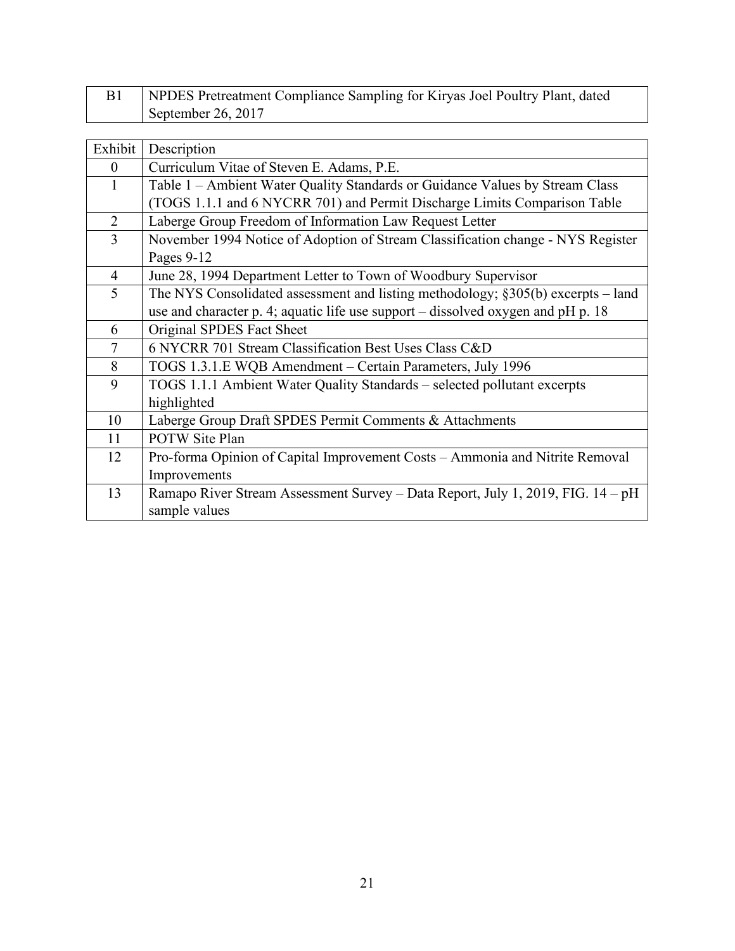| NPDES Pretreatment Compliance Sampling for Kiryas Joel Poultry Plant, dated |
|-----------------------------------------------------------------------------|
| September 26, 2017                                                          |

| Exhibit        | Description                                                                        |
|----------------|------------------------------------------------------------------------------------|
| $\overline{0}$ | Curriculum Vitae of Steven E. Adams, P.E.                                          |
| 1              | Table 1 – Ambient Water Quality Standards or Guidance Values by Stream Class       |
|                | (TOGS 1.1.1 and 6 NYCRR 701) and Permit Discharge Limits Comparison Table          |
| 2              | Laberge Group Freedom of Information Law Request Letter                            |
| 3              | November 1994 Notice of Adoption of Stream Classification change - NYS Register    |
|                | Pages 9-12                                                                         |
| $\overline{4}$ | June 28, 1994 Department Letter to Town of Woodbury Supervisor                     |
| 5              | The NYS Consolidated assessment and listing methodology; $§305(b)$ excerpts – land |
|                | use and character p. 4; aquatic life use support – dissolved oxygen and pH p. 18   |
| 6              | Original SPDES Fact Sheet                                                          |
| $\tau$         | 6 NYCRR 701 Stream Classification Best Uses Class C&D                              |
| 8              | TOGS 1.3.1.E WQB Amendment – Certain Parameters, July 1996                         |
| 9              | TOGS 1.1.1 Ambient Water Quality Standards – selected pollutant excerpts           |
|                | highlighted                                                                        |
| 10             | Laberge Group Draft SPDES Permit Comments & Attachments                            |
| 11             | <b>POTW</b> Site Plan                                                              |
| 12             | Pro-forma Opinion of Capital Improvement Costs - Ammonia and Nitrite Removal       |
|                | Improvements                                                                       |
| 13             | Ramapo River Stream Assessment Survey - Data Report, July 1, 2019, FIG. 14 - pH    |
|                | sample values                                                                      |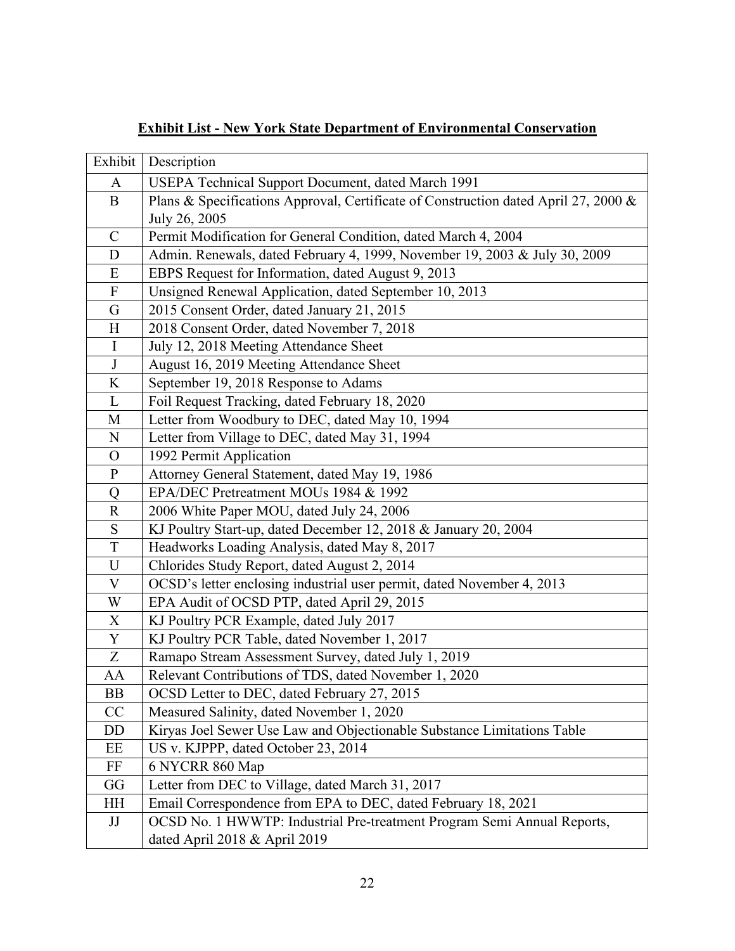# **Exhibit List - New York State Department of Environmental Conservation**

| Exhibit        | Description                                                                         |
|----------------|-------------------------------------------------------------------------------------|
| A              | USEPA Technical Support Document, dated March 1991                                  |
| $\mathbf B$    | Plans & Specifications Approval, Certificate of Construction dated April 27, 2000 & |
|                | July 26, 2005                                                                       |
| $\mathbf C$    | Permit Modification for General Condition, dated March 4, 2004                      |
| ${\bf D}$      | Admin. Renewals, dated February 4, 1999, November 19, 2003 & July 30, 2009          |
| ${\bf E}$      | EBPS Request for Information, dated August 9, 2013                                  |
| $\mathbf F$    | Unsigned Renewal Application, dated September 10, 2013                              |
| ${\bf G}$      | 2015 Consent Order, dated January 21, 2015                                          |
| H              | 2018 Consent Order, dated November 7, 2018                                          |
| $\bf{I}$       | July 12, 2018 Meeting Attendance Sheet                                              |
| J              | August 16, 2019 Meeting Attendance Sheet                                            |
| $\rm K$        | September 19, 2018 Response to Adams                                                |
| $\mathbf{L}$   | Foil Request Tracking, dated February 18, 2020                                      |
| M              | Letter from Woodbury to DEC, dated May 10, 1994                                     |
| ${\bf N}$      | Letter from Village to DEC, dated May 31, 1994                                      |
| $\mathcal{O}$  | 1992 Permit Application                                                             |
| $\mathbf{P}$   | Attorney General Statement, dated May 19, 1986                                      |
| Q              | EPA/DEC Pretreatment MOUs 1984 & 1992                                               |
| ${\bf R}$      | 2006 White Paper MOU, dated July 24, 2006                                           |
| $S_{\text{}}$  | KJ Poultry Start-up, dated December 12, 2018 & January 20, 2004                     |
| $\mathbf T$    | Headworks Loading Analysis, dated May 8, 2017                                       |
| $\mathbf U$    | Chlorides Study Report, dated August 2, 2014                                        |
| $\mathbf V$    | OCSD's letter enclosing industrial user permit, dated November 4, 2013              |
| W              | EPA Audit of OCSD PTP, dated April 29, 2015                                         |
| $\mathbf X$    | KJ Poultry PCR Example, dated July 2017                                             |
| $\overline{Y}$ | KJ Poultry PCR Table, dated November 1, 2017                                        |
| Z              | Ramapo Stream Assessment Survey, dated July 1, 2019                                 |
| AA             | Relevant Contributions of TDS, dated November 1, 2020                               |
| ΒB             | OCSD Letter to DEC, dated February 27, 2015                                         |
| CC             | Measured Salinity, dated November 1, 2020                                           |
| DD             | Kiryas Joel Sewer Use Law and Objectionable Substance Limitations Table             |
| EE             | US v. KJPPP, dated October 23, 2014                                                 |
| FF             | 6 NYCRR 860 Map                                                                     |
| GG             | Letter from DEC to Village, dated March 31, 2017                                    |
| HH             | Email Correspondence from EPA to DEC, dated February 18, 2021                       |
| JJ             | OCSD No. 1 HWWTP: Industrial Pre-treatment Program Semi Annual Reports,             |
|                | dated April 2018 & April 2019                                                       |